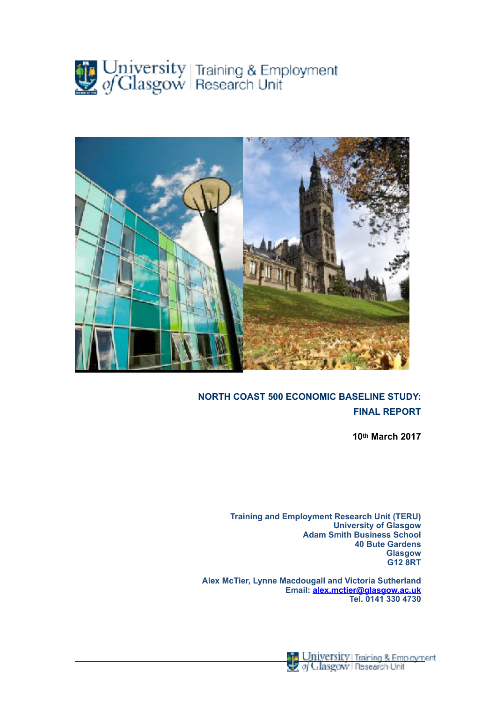



# **NORTH COAST 500 ECONOMIC BASELINE STUDY: FINAL REPORT**

**10th March 2017** 

**Training and Employment Research Unit (TERU) University of Glasgow Adam Smith Business School 40 Bute Gardens Glasgow G12 8RT** 

**Alex McTier, Lynne Macdougall and Victoria Sutherland Email: [alex.mctier@glasgow.ac.uk](mailto:alex.mctier@glasgow.ac.uk) Tel. 0141 330 4730** 

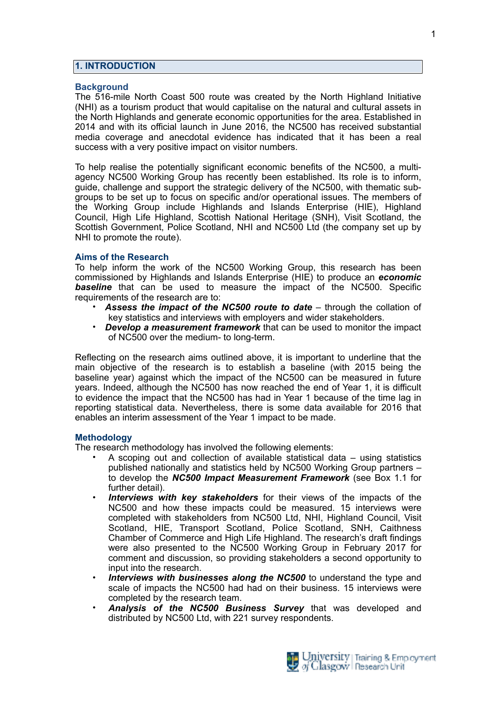#### **1. INTRODUCTION**

#### **Background**

The 516-mile North Coast 500 route was created by the North Highland Initiative (NHI) as a tourism product that would capitalise on the natural and cultural assets in the North Highlands and generate economic opportunities for the area. Established in 2014 and with its official launch in June 2016, the NC500 has received substantial media coverage and anecdotal evidence has indicated that it has been a real success with a very positive impact on visitor numbers.

To help realise the potentially significant economic benefits of the NC500, a multiagency NC500 Working Group has recently been established. Its role is to inform, guide, challenge and support the strategic delivery of the NC500, with thematic subgroups to be set up to focus on specific and/or operational issues. The members of the Working Group include Highlands and Islands Enterprise (HIE), Highland Council, High Life Highland, Scottish National Heritage (SNH), Visit Scotland, the Scottish Government, Police Scotland, NHI and NC500 Ltd (the company set up by NHI to promote the route).

#### **Aims of the Research**

To help inform the work of the NC500 Working Group, this research has been commissioned by Highlands and Islands Enterprise (HIE) to produce an *economic baseline* that can be used to measure the impact of the NC500. Specific requirements of the research are to:

- *Assess the impact of the NC500 route to date* through the collation of key statistics and interviews with employers and wider stakeholders.
- *Develop a measurement framework* that can be used to monitor the impact of NC500 over the medium- to long-term.

Reflecting on the research aims outlined above, it is important to underline that the main objective of the research is to establish a baseline (with 2015 being the baseline year) against which the impact of the NC500 can be measured in future years. Indeed, although the NC500 has now reached the end of Year 1, it is difficult to evidence the impact that the NC500 has had in Year 1 because of the time lag in reporting statistical data. Nevertheless, there is some data available for 2016 that enables an interim assessment of the Year 1 impact to be made.

#### **Methodology**

The research methodology has involved the following elements:

- A scoping out and collection of available statistical data  $-$  using statistics published nationally and statistics held by NC500 Working Group partners – to develop the *NC500 Impact Measurement Framework* (see Box 1.1 for further detail).
- *Interviews with key stakeholders* for their views of the impacts of the NC500 and how these impacts could be measured. 15 interviews were completed with stakeholders from NC500 Ltd, NHI, Highland Council, Visit Scotland, HIE, Transport Scotland, Police Scotland, SNH, Caithness Chamber of Commerce and High Life Highland. The research's draft findings were also presented to the NC500 Working Group in February 2017 for comment and discussion, so providing stakeholders a second opportunity to input into the research.
- *Interviews with businesses along the NC500* to understand the type and scale of impacts the NC500 had had on their business. 15 interviews were completed by the research team.
- *Analysis of the NC500 Business Survey* that was developed and distributed by NC500 Ltd, with 221 survey respondents.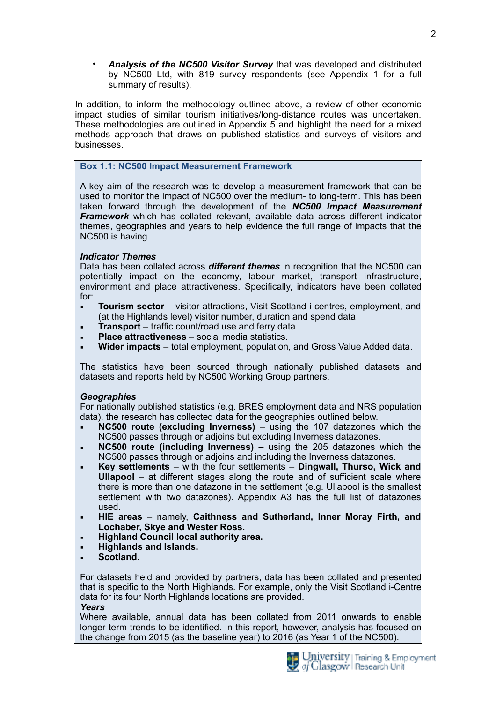• *Analysis of the NC500 Visitor Survey* that was developed and distributed by NC500 Ltd, with 819 survey respondents (see Appendix 1 for a full summary of results).

In addition, to inform the methodology outlined above, a review of other economic impact studies of similar tourism initiatives/long-distance routes was undertaken. These methodologies are outlined in Appendix 5 and highlight the need for a mixed methods approach that draws on published statistics and surveys of visitors and businesses.

## **Box 1.1: NC500 Impact Measurement Framework**

A key aim of the research was to develop a measurement framework that can be used to monitor the impact of NC500 over the medium- to long-term. This has been taken forward through the development of the *NC500 Impact Measurement Framework* which has collated relevant, available data across different indicator themes, geographies and years to help evidence the full range of impacts that the NC500 is having.

## *Indicator Themes*

Data has been collated across *different themes* in recognition that the NC500 can potentially impact on the economy, labour market, transport infrastructure, environment and place attractiveness. Specifically, indicators have been collated for:

- **Tourism sector** visitor attractions, Visit Scotland i-centres, employment, and (at the Highlands level) visitor number, duration and spend data.
- **Transport** traffic count/road use and ferry data.
- **Place attractiveness** social media statistics.
- **Wider impacts** total employment, population, and Gross Value Added data.

The statistics have been sourced through nationally published datasets and datasets and reports held by NC500 Working Group partners.

## *Geographies*

For nationally published statistics (e.g. BRES employment data and NRS population data), the research has collected data for the geographies outlined below.

- **NC500 route (excluding Inverness)** using the 107 datazones which the NC500 passes through or adjoins but excluding Inverness datazones.
- **NC500 route (including Inverness) using the 205 datazones which the** NC500 passes through or adjoins and including the Inverness datazones.
- **Key settlements** with the four settlements Dingwall, Thurso, Wick and **Ullapool** – at different stages along the route and of sufficient scale where there is more than one datazone in the settlement (e.g. Ullapool is the smallest settlement with two datazones). Appendix A3 has the full list of datazones used.
- **HIE areas** namely, Caithness and Sutherland, Inner Moray Firth, and **Lochaber, Skye and Wester Ross.**
- **Highland Council local authority area.**
- **Highlands and Islands.**
- Scotland.

For datasets held and provided by partners, data has been collated and presented that is specific to the North Highlands. For example, only the Visit Scotland i-Centre data for its four North Highlands locations are provided. *Years* 

Where available, annual data has been collated from 2011 onwards to enable longer-term trends to be identified. In this report, however, analysis has focused on the change from 2015 (as the baseline year) to 2016 (as Year 1 of the NC500).

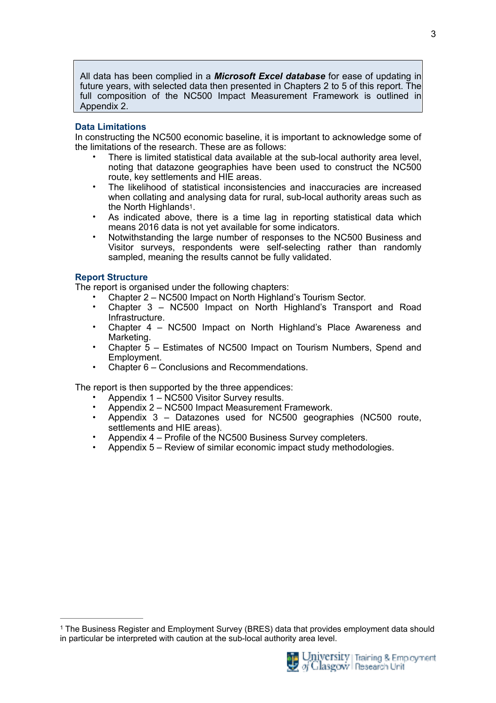All data has been complied in a *Microsoft Excel database* for ease of updating in future years, with selected data then presented in Chapters 2 to 5 of this report. The full composition of the NC500 Impact Measurement Framework is outlined in Appendix 2.

## **Data Limitations**

In constructing the NC500 economic baseline, it is important to acknowledge some of the limitations of the research. These are as follows:

- There is limited statistical data available at the sub-local authority area level, noting that datazone geographies have been used to construct the NC500 route, key settlements and HIE areas.
- The likelihood of statistical inconsistencies and inaccuracies are increased when collating and analysing data for rural, sub-local authority areas such as the North Highland[s1](#page-3-0).
- <span id="page-3-1"></span>• As indicated above, there is a time lag in reporting statistical data which means 2016 data is not yet available for some indicators.
- Notwithstanding the large number of responses to the NC500 Business and Visitor surveys, respondents were self-selecting rather than randomly sampled, meaning the results cannot be fully validated.

## **Report Structure**

The report is organised under the following chapters:

- Chapter 2 NC500 Impact on North Highland's Tourism Sector.
- Chapter 3 NC500 Impact on North Highland's Transport and Road Infrastructure.
- Chapter 4 NC500 Impact on North Highland's Place Awareness and Marketing.
- Chapter 5 Estimates of NC500 Impact on Tourism Numbers, Spend and Employment.
- Chapter 6 Conclusions and Recommendations.

The report is then supported by the three appendices:

- Appendix 1 NC500 Visitor Survey results.
- Appendix 2 NC500 Impact Measurement Framework.
- Appendix 3 Datazones used for NC500 geographies (NC500 route, settlements and HIE areas).
- Appendix 4 Profile of the NC500 Business Survey completers.
- Appendix 5 Review of similar economic impact study methodologies.

<span id="page-3-0"></span><sup>&</sup>lt;sup>1</sup>The Business Register and Employment Survey (BRES) data that provides employment data should in particular be interpreted with caution at the sub-local authority area level.

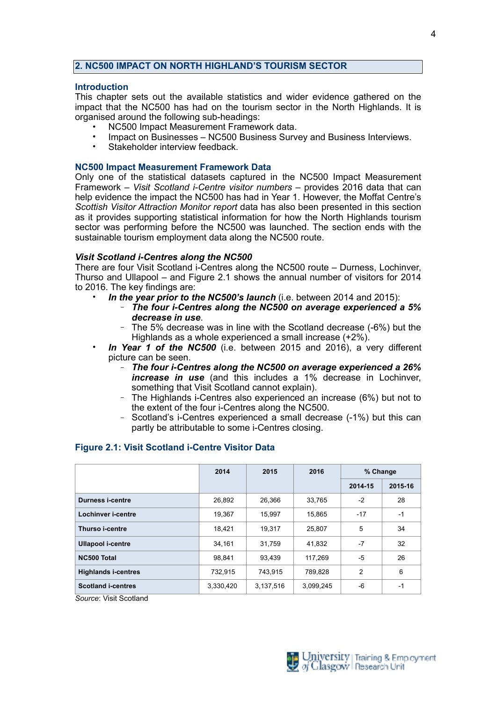#### **2. NC500 IMPACT ON NORTH HIGHLAND'S TOURISM SECTOR**

#### **Introduction**

This chapter sets out the available statistics and wider evidence gathered on the impact that the NC500 has had on the tourism sector in the North Highlands. It is organised around the following sub-headings:

- NC500 Impact Measurement Framework data.
- Impact on Businesses NC500 Business Survey and Business Interviews.
- Stakeholder interview feedback.

#### **NC500 Impact Measurement Framework Data**

Only one of the statistical datasets captured in the NC500 Impact Measurement Framework – *Visit Scotland i-Centre visitor numbers* – provides 2016 data that can help evidence the impact the NC500 has had in Year 1. However, the Moffat Centre's *Scottish Visitor Attraction Monitor report* data has also been presented in this section as it provides supporting statistical information for how the North Highlands tourism sector was performing before the NC500 was launched. The section ends with the sustainable tourism employment data along the NC500 route.

#### *Visit Scotland i-Centres along the NC500*

There are four Visit Scotland i-Centres along the NC500 route – Durness, Lochinver, Thurso and Ullapool – and Figure 2.1 shows the annual number of visitors for 2014 to 2016. The key findings are:

- *In the year prior to the NC500's launch* (i.e. between 2014 and 2015):
	- *The four i-Centres along the NC500 on average experienced a 5% decrease in use*.
	- The 5% decrease was in line with the Scotland decrease (-6%) but the Highlands as a whole experienced a small increase (+2%).
- In Year 1 of the NC500 (i.e. between 2015 and 2016), a very different picture can be seen.
	- *The four i-Centres along the NC500 on average experienced a 26% increase in use* (and this includes a 1% decrease in Lochinver, something that Visit Scotland cannot explain).
	- The Highlands i-Centres also experienced an increase (6%) but not to the extent of the four i-Centres along the NC500.
	- Scotland's i-Centres experienced a small decrease (-1%) but this can partly be attributable to some i-Centres closing.

#### **Figure 2.1: Visit Scotland i-Centre Visitor Data**

|                            | 2014      | 2015      | 2016      | % Change       |         |
|----------------------------|-----------|-----------|-----------|----------------|---------|
|                            |           |           |           | 2014-15        | 2015-16 |
| <b>Durness i-centre</b>    | 26,892    | 26,366    | 33.765    | $-2$           | 28      |
| Lochinver i-centre         | 19,367    | 15,997    | 15,865    | $-17$          | $-1$    |
| Thurso i-centre            | 18,421    | 19,317    | 25,807    | 5              | 34      |
| <b>Ullapool i-centre</b>   | 34,161    | 31,759    | 41,832    | $-7$           | 32      |
| NC500 Total                | 98.841    | 93.439    | 117,269   | -5             | 26      |
| <b>Highlands i-centres</b> | 732,915   | 743.915   | 789.828   | $\overline{2}$ | 6       |
| <b>Scotland i-centres</b>  | 3,330,420 | 3,137,516 | 3.099,245 | $-6$           | $-1$    |

*Source*: Visit Scotland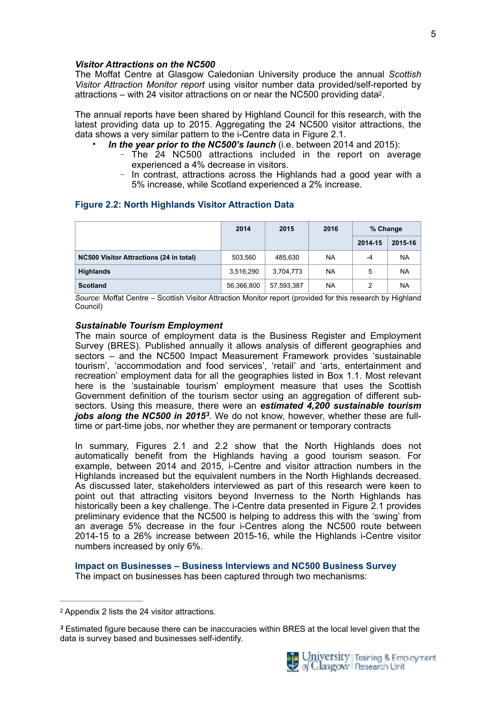#### *Visitor Attractions on the NC500*

The Moffat Centre at Glasgow Caledonian University produce the annual *Scottish Visitor Attraction Monitor report* using visitor number data provided/self-reported by attractions – with 24 visitor attractions on or near the NC500 providing dat[a2](#page-5-0).

The annual reports have been shared by Highland Council for this research, with the latest providing data up to 2015. Aggregating the 24 NC500 visitor attractions, the data shows a very similar pattern to the i-Centre data in Figure 2.1.

- <span id="page-5-2"></span>• *In the year prior to the NC500's launch* (i.e. between 2014 and 2015):
	- The 24 NC500 attractions included in the report on average experienced a 4% decrease in visitors.
	- In contrast, attractions across the Highlands had a good year with a 5% increase, while Scotland experienced a 2% increase.

#### **Figure 2.2: North Highlands Visitor Attraction Data**

|                                         | 2014       | 2015       | 2016 | % Change |           |
|-----------------------------------------|------------|------------|------|----------|-----------|
|                                         |            |            |      | 2014-15  | 2015-16   |
| NC500 Visitor Attractions (24 in total) | 503,560    | 485,630    | NA   | $-4$     | <b>NA</b> |
| <b>Highlands</b>                        | 3,516,290  | 3,704,773  | NA   | 5        | <b>NA</b> |
| <b>Scotland</b>                         | 56,366,800 | 57,593,387 | NA   | 2        | <b>NA</b> |

*Source*: Moffat Centre – Scottish Visitor Attraction Monitor report (provided for this research by Highland Council)

#### *Sustainable Tourism Employment*

The main source of employment data is the Business Register and Employment Survey (BRES). Published annually it allows analysis of different geographies and sectors – and the NC500 Impact Measurement Framework provides 'sustainable tourism', 'accommodation and food services', 'retail' and 'arts, entertainment and recreation' employment data for all the geographies listed in Box 1.1. Most relevant here is the 'sustainable tourism' employment measure that uses the Scottish Government definition of the tourism sector using an aggregation of different subsectors. Using this measure, there were an *estimated 4,200 sustainable tourism jobs along the NC500 in 2015*<sup>[3](#page-5-1)</sup>. We do not know, however, whether these are fulltime or part-time jobs, nor whether they are permanent or temporary contracts

<span id="page-5-3"></span>In summary, Figures 2.1 and 2.2 show that the North Highlands does not automatically benefit from the Highlands having a good tourism season. For example, between 2014 and 2015, i-Centre and visitor attraction numbers in the Highlands increased but the equivalent numbers in the North Highlands decreased. As discussed later, stakeholders interviewed as part of this research were keen to point out that attracting visitors beyond Inverness to the North Highlands has historically been a key challenge. The i-Centre data presented in Figure 2.1 provides preliminary evidence that the NC500 is helping to address this with the 'swing' from an average 5% decrease in the four i-Centres along the NC500 route between 2014-15 to a 26% increase between 2015-16, while the Highlands i-Centre visitor numbers increased by only 6%.

**Impact on Businesses – Business Interviews and NC500 Business Survey**  The impact on businesses has been captured through two mechanisms:



<span id="page-5-0"></span>Appendix 2 lists the 24 visitor attractions. [2](#page-5-2)

<span id="page-5-1"></span>Estimated figure because there can be inaccuracies within BRES at the local level given that the *[3](#page-5-3)* data is survey based and businesses self-identify.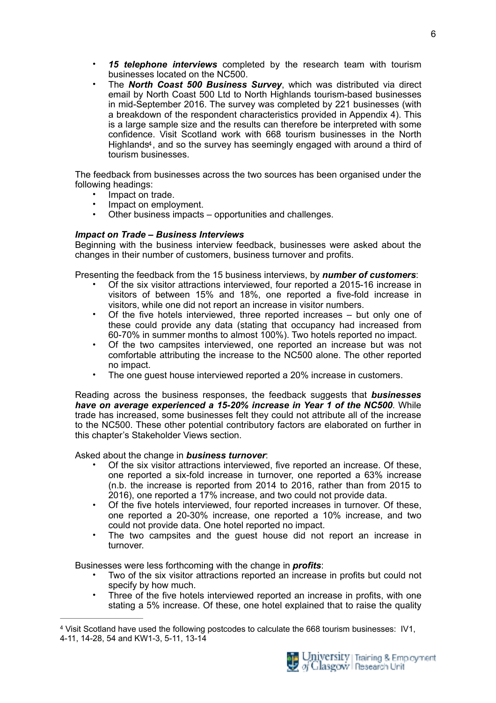- 15 telephone interviews completed by the research team with tourism businesses located on the NC500.
- The *North Coast 500 Business Survey*, which was distributed via direct email by North Coast 500 Ltd to North Highlands tourism-based businesses in mid-September 2016. The survey was completed by 221 businesses (with a breakdown of the respondent characteristics provided in Appendix 4). This is a large sample size and the results can therefore be interpreted with some confidence. Visit Scotland work with 668 tourism businesses in the North Highland[s4,](#page-6-0) and so the survey has seemingly engaged with around a third of tourism businesses.

The feedback from businesses across the two sources has been organised under the following headings:

- <span id="page-6-1"></span>Impact on trade.
- Impact on employment.
- Other business impacts opportunities and challenges.

## *Impact on Trade – Business Interviews*

Beginning with the business interview feedback, businesses were asked about the changes in their number of customers, business turnover and profits.

Presenting the feedback from the 15 business interviews, by *number of customers*:

- Of the six visitor attractions interviewed, four reported a 2015-16 increase in visitors of between 15% and 18%, one reported a five-fold increase in visitors, while one did not report an increase in visitor numbers.
- Of the five hotels interviewed, three reported increases but only one of these could provide any data (stating that occupancy had increased from 60-70% in summer months to almost 100%). Two hotels reported no impact.
- Of the two campsites interviewed, one reported an increase but was not comfortable attributing the increase to the NC500 alone. The other reported no impact.
- The one guest house interviewed reported a 20% increase in customers.

Reading across the business responses, the feedback suggests that *businesses have on average experienced a 15-20% increase in Year 1 of the NC500*. While trade has increased, some businesses felt they could not attribute all of the increase to the NC500. These other potential contributory factors are elaborated on further in this chapter's Stakeholder Views section.

Asked about the change in *business turnover*:

- Of the six visitor attractions interviewed, five reported an increase. Of these, one reported a six-fold increase in turnover, one reported a 63% increase (n.b. the increase is reported from 2014 to 2016, rather than from 2015 to 2016), one reported a 17% increase, and two could not provide data.
- Of the five hotels interviewed, four reported increases in turnover. Of these, one reported a 20-30% increase, one reported a 10% increase, and two could not provide data. One hotel reported no impact.
- The two campsites and the quest house did not report an increase in turnover.

Businesses were less forthcoming with the change in *profits*:

- Two of the six visitor attractions reported an increase in profits but could not specify by how much.
- Three of the five hotels interviewed reported an increase in profits, with one stating a 5% increase. Of these, one hotel explained that to raise the quality

<span id="page-6-0"></span>Visit Scotland have used the following postcodes to calculate the 668 tourism businesses: IV1, [4](#page-6-1) 4-11, 14-28, 54 and KW1-3, 5-11, 13-14

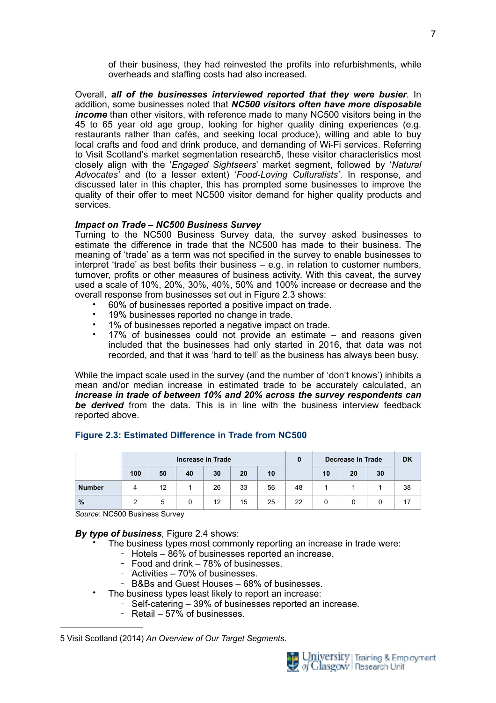<span id="page-7-1"></span>of their business, they had reinvested the profits into refurbishments, while overheads and staffing costs had also increased.

Overall, *all of the businesses interviewed reported that they were busier*. In addition, some businesses noted that *NC500 visitors often have more disposable income* than other visitors, with reference made to many NC500 visitors being in the 45 to 65 year old age group, looking for higher quality dining experiences (e.g. restaurants rather than cafés, and seeking local produce), willing and able to buy local crafts and food and drink produce, and demanding of Wi-Fi services. Referring to Visit Scotland's market segmentation researc[h5](#page-7-0), these visitor characteristics most closely align with the '*Engaged Sightseers*' market segment, followed by '*Natural Advocates'* and (to a lesser extent) '*Food-Loving Culturalists'*. In response, and discussed later in this chapter, this has prompted some businesses to improve the quality of their offer to meet NC500 visitor demand for higher quality products and services.

## *Impact on Trade – NC500 Business Survey*

Turning to the NC500 Business Survey data, the survey asked businesses to estimate the difference in trade that the NC500 has made to their business. The meaning of 'trade' as a term was not specified in the survey to enable businesses to interpret 'trade' as best befits their business  $-$  e.g. in relation to customer numbers, turnover, profits or other measures of business activity. With this caveat, the survey used a scale of 10%, 20%, 30%, 40%, 50% and 100% increase or decrease and the overall response from businesses set out in Figure 2.3 shows:

- 60% of businesses reported a positive impact on trade.
- 19% businesses reported no change in trade.
- 1% of businesses reported a negative impact on trade.
- $17\%$  of businesses could not provide an estimate  $-$  and reasons given included that the businesses had only started in 2016, that data was not recorded, and that it was 'hard to tell' as the business has always been busy.

While the impact scale used in the survey (and the number of 'don't knows') inhibits a mean and/or median increase in estimated trade to be accurately calculated, an *increase in trade of between 10% and 20% across the survey respondents can be derived* from the data. This is in line with the business interview feedback reported above.

|               | Increase in Trade |    |    |    |    |    | Decrease in Trade |    | <b>DK</b> |    |    |
|---------------|-------------------|----|----|----|----|----|-------------------|----|-----------|----|----|
|               | 100               | 50 | 40 | 30 | 20 | 10 |                   | 10 | 20        | 30 |    |
| <b>Number</b> | Δ                 | 12 |    | 26 | 33 | 56 | 48                |    |           |    | 38 |
| %             |                   | 5  |    | 12 | 15 | 25 | 22                |    |           |    |    |

## **Figure 2.3: Estimated Difference in Trade from NC500**

*Source*: NC500 Business Survey

## *By type of business*, Figure 2.4 shows:

- The business types most commonly reporting an increase in trade were:
	- Hotels 86% of businesses reported an increase.
	- Food and drink 78% of businesses.
	- Activities 70% of businesses.
	- B&Bs and Guest Houses 68% of businesses.
- The business types least likely to report an increase:
	- Self-catering 39% of businesses reported an increase.
	- $Reta = 57\%$  of businesses.

<span id="page-7-0"></span>[5](#page-7-1) Visit Scotland (2014) *An Overview of Our Target Segments*.

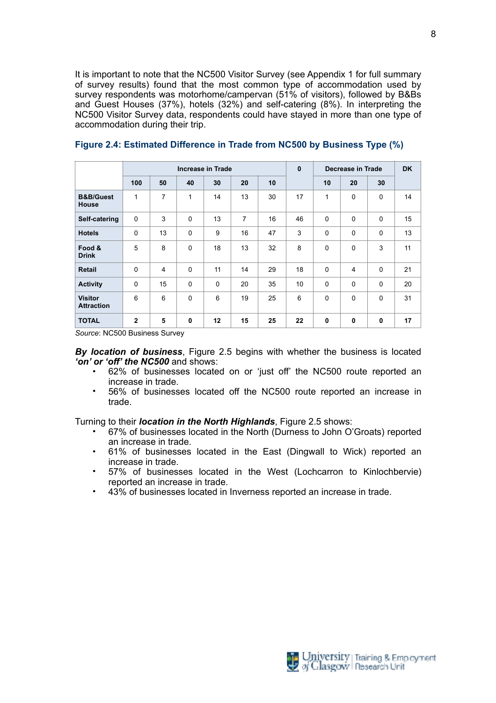It is important to note that the NC500 Visitor Survey (see Appendix 1 for full summary of survey results) found that the most common type of accommodation used by survey respondents was motorhome/campervan (51% of visitors), followed by B&Bs and Guest Houses (37%), hotels (32%) and self-catering (8%). In interpreting the NC500 Visitor Survey data, respondents could have stayed in more than one type of accommodation during their trip.

|                                      | <b>Increase in Trade</b> |                |              |          |                | $\mathbf{0}$ |    | Decrease in Trade |                | <b>DK</b>   |    |
|--------------------------------------|--------------------------|----------------|--------------|----------|----------------|--------------|----|-------------------|----------------|-------------|----|
|                                      | 100                      | 50             | 40           | 30       | 20             | 10           |    | 10                | 20             | 30          |    |
| <b>B&amp;B/Guest</b><br><b>House</b> | 1                        | 7              | 1            | 14       | 13             | 30           | 17 | 1                 | 0              | 0           | 14 |
| Self-catering                        | $\mathbf{0}$             | 3              | $\Omega$     | 13       | $\overline{7}$ | 16           | 46 | $\mathbf 0$       | 0              | 0           | 15 |
| <b>Hotels</b>                        | $\mathbf 0$              | 13             | $\mathbf 0$  | 9        | 16             | 47           | 3  | $\mathbf 0$       | 0              | 0           | 13 |
| Food &<br><b>Drink</b>               | 5                        | 8              | $\Omega$     | 18       | 13             | 32           | 8  | $\Omega$          | 0              | 3           | 11 |
| <b>Retail</b>                        | $\mathbf 0$              | $\overline{4}$ | $\mathbf 0$  | 11       | 14             | 29           | 18 | $\mathbf 0$       | $\overline{4}$ | 0           | 21 |
| <b>Activity</b>                      | $\mathbf 0$              | 15             | $\mathbf 0$  | $\Omega$ | 20             | 35           | 10 | $\mathbf 0$       | 0              | 0           | 20 |
| <b>Visitor</b><br><b>Attraction</b>  | 6                        | 6              | $\Omega$     | 6        | 19             | 25           | 6  | $\Omega$          | 0              | $\Omega$    | 31 |
| <b>TOTAL</b>                         | $\overline{2}$           | 5              | $\mathbf{0}$ | 12       | 15             | 25           | 22 | $\mathbf 0$       | $\mathbf 0$    | $\mathbf 0$ | 17 |

#### **Figure 2.4: Estimated Difference in Trade from NC500 by Business Type (%)**

*Source*: NC500 Business Survey

*By location of business*, Figure 2.5 begins with whether the business is located *'on' or 'off' the NC500* and shows:

- 62% of businesses located on or 'just off' the NC500 route reported an increase in trade.
- 56% of businesses located off the NC500 route reported an increase in trade.

Turning to their *location in the North Highlands*, Figure 2.5 shows:

- 67% of businesses located in the North (Durness to John O'Groats) reported an increase in trade.
- 61% of businesses located in the East (Dingwall to Wick) reported an increase in trade.
- 57% of businesses located in the West (Lochcarron to Kinlochbervie) reported an increase in trade.
- 43% of businesses located in Inverness reported an increase in trade.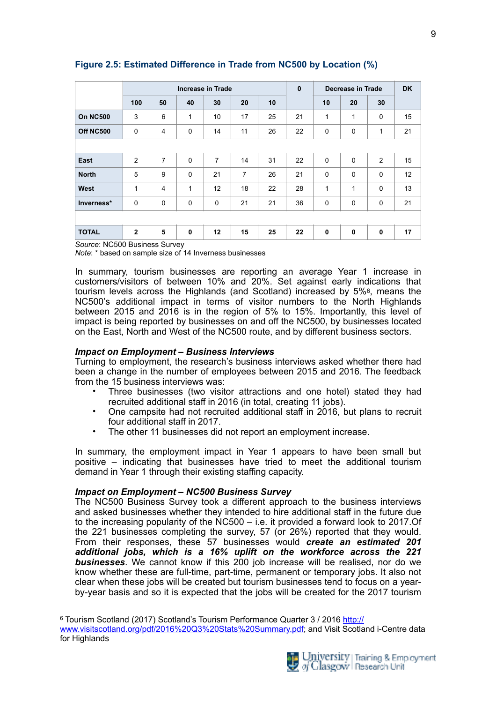|                 | <b>Increase in Trade</b> |                         |             |                |                |    | $\mathbf{0}$ |             | <b>Decrease in Trade</b> |              | <b>DK</b> |
|-----------------|--------------------------|-------------------------|-------------|----------------|----------------|----|--------------|-------------|--------------------------|--------------|-----------|
|                 | 100                      | 50                      | 40          | 30             | 20             | 10 |              | 10          | 20                       | 30           |           |
| <b>On NC500</b> | 3                        | 6                       | 1           | 10             | 17             | 25 | 21           | 1           | 1                        | 0            | 15        |
| Off NC500       | $\mathbf 0$              | $\overline{4}$          | $\mathbf 0$ | 14             | 11             | 26 | 22           | $\mathbf 0$ | 0                        | $\mathbf{1}$ | 21        |
|                 |                          |                         |             |                |                |    |              |             |                          |              |           |
| East            | $\overline{2}$           | 7                       | $\mathbf 0$ | $\overline{7}$ | 14             | 31 | 22           | $\mathbf 0$ | $\mathbf 0$              | 2            | 15        |
| <b>North</b>    | 5                        | 9                       | $\mathbf 0$ | 21             | $\overline{7}$ | 26 | 21           | $\mathbf 0$ | 0                        | 0            | 12        |
| West            | 1                        | $\overline{\mathbf{4}}$ | 1           | 12             | 18             | 22 | 28           | 1           | $\mathbf{1}$             | 0            | 13        |
| Inverness*      | $\mathbf 0$              | $\mathbf 0$             | $\mathbf 0$ | $\mathbf 0$    | 21             | 21 | 36           | $\mathbf 0$ | $\mathbf 0$              | $\mathbf 0$  | 21        |
|                 |                          |                         |             |                |                |    |              |             |                          |              |           |
| <b>TOTAL</b>    | $\mathbf{2}$             | 5                       | $\mathbf 0$ | 12             | 15             | 25 | 22           | 0           | $\mathbf 0$              | $\mathbf 0$  | 17        |

## **Figure 2.5: Estimated Difference in Trade from NC500 by Location (%)**

*Source*: NC500 Business Survey

*Note*: \* based on sample size of 14 Inverness businesses

In summary, tourism businesses are reporting an average Year 1 increase in customers/visitors of between 10% and 20%. Set against early indications that tourism levels across the Highlands (and Scotland) increased by 5%[6,](#page-9-0) means the NC500's additional impact in terms of visitor numbers to the North Highlands between 2015 and 2016 is in the region of 5% to 15%. Importantly, this level of impact is being reported by businesses on and off the NC500, by businesses located on the East, North and West of the NC500 route, and by different business sectors.

## *Impact on Employment – Business Interviews*

Turning to employment, the research's business interviews asked whether there had been a change in the number of employees between 2015 and 2016. The feedback from the 15 business interviews was:

- <span id="page-9-1"></span>• Three businesses (two visitor attractions and one hotel) stated they had recruited additional staff in 2016 (in total, creating 11 jobs).
- One campsite had not recruited additional staff in 2016, but plans to recruit four additional staff in 2017.
- The other 11 businesses did not report an employment increase.

In summary, the employment impact in Year 1 appears to have been small but positive – indicating that businesses have tried to meet the additional tourism demand in Year 1 through their existing staffing capacity.

#### *Impact on Employment – NC500 Business Survey*

The NC500 Business Survey took a different approach to the business interviews and asked businesses whether they intended to hire additional staff in the future due to the increasing popularity of the NC500 – i.e. it provided a forward look to 2017.Of the 221 businesses completing the survey, 57 (or 26%) reported that they would. From their responses, these 57 businesses would *create an estimated 201 additional jobs, which is a 16% uplift on the workforce across the 221 businesses*. We cannot know if this 200 job increase will be realised, nor do we know whether these are full-time, part-time, permanent or temporary jobs. It also not clear when these jobs will be created but tourism businesses tend to focus on a yearby-year basis and so it is expected that the jobs will be created for the 2017 tourism



<span id="page-9-0"></span><sup>&</sup>lt;sup>6</sup> Tourism Scotland (2017) Scotland's Tourism Performance Quarter 3 / 2016 [http://](http://www.visitscotland.org/pdf/2016%2520Q3%2520Stats%2520Summary.pdf) [www.visitscotland.org/pdf/2016%20Q3%20Stats%20Summary.pdf](http://www.visitscotland.org/pdf/2016%2520Q3%2520Stats%2520Summary.pdf); and Visit Scotland i-Centre data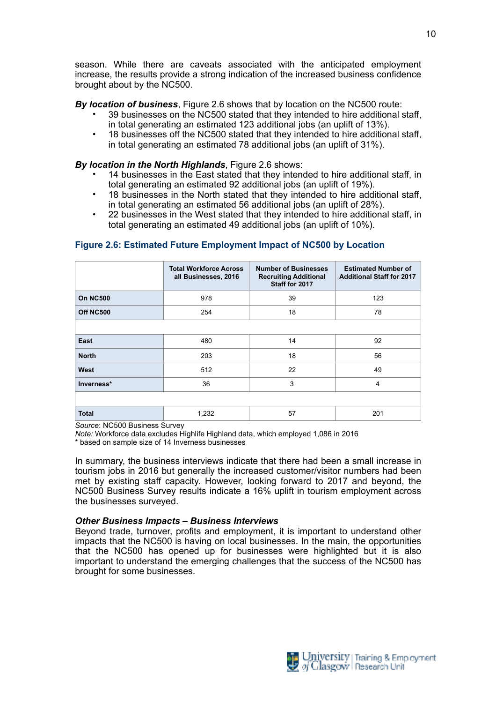season. While there are caveats associated with the anticipated employment increase, the results provide a strong indication of the increased business confidence brought about by the NC500.

*By location of business*, Figure 2.6 shows that by location on the NC500 route:

- 39 businesses on the NC500 stated that they intended to hire additional staff, in total generating an estimated 123 additional jobs (an uplift of 13%).
- 18 businesses off the NC500 stated that they intended to hire additional staff, in total generating an estimated 78 additional jobs (an uplift of 31%).

## *By location in the North Highlands*, Figure 2.6 shows:

- 14 businesses in the East stated that they intended to hire additional staff, in total generating an estimated 92 additional jobs (an uplift of 19%).
- 18 businesses in the North stated that they intended to hire additional staff, in total generating an estimated 56 additional jobs (an uplift of 28%).
- 22 businesses in the West stated that they intended to hire additional staff, in total generating an estimated 49 additional jobs (an uplift of 10%).

## **Figure 2.6: Estimated Future Employment Impact of NC500 by Location**

|                              | <b>Total Workforce Across</b><br>all Businesses, 2016 | <b>Number of Businesses</b><br><b>Recruiting Additional</b><br>Staff for 2017 | <b>Estimated Number of</b><br><b>Additional Staff for 2017</b> |
|------------------------------|-------------------------------------------------------|-------------------------------------------------------------------------------|----------------------------------------------------------------|
| <b>On NC500</b>              | 978                                                   | 39                                                                            | 123                                                            |
| Off NC500                    | 254                                                   | 18                                                                            | 78                                                             |
|                              |                                                       |                                                                               |                                                                |
| East                         | 480                                                   | 14                                                                            | 92                                                             |
| <b>North</b>                 | 203                                                   | 18                                                                            | 56                                                             |
| West                         | 512                                                   | 22                                                                            | 49                                                             |
| Inverness*                   | 36                                                    | 3                                                                             | 4                                                              |
|                              |                                                       |                                                                               |                                                                |
| <b>Total</b><br>$\mathbf{1}$ | 1,232<br>$\sim$                                       | 57                                                                            | 201                                                            |

*Source*: NC500 Business Survey

*Note:* Workforce data excludes Highlife Highland data, which employed 1,086 in 2016

\* based on sample size of 14 Inverness businesses

In summary, the business interviews indicate that there had been a small increase in tourism jobs in 2016 but generally the increased customer/visitor numbers had been met by existing staff capacity. However, looking forward to 2017 and beyond, the NC500 Business Survey results indicate a 16% uplift in tourism employment across the businesses surveyed.

#### *Other Business Impacts – Business Interviews*

Beyond trade, turnover, profits and employment, it is important to understand other impacts that the NC500 is having on local businesses. In the main, the opportunities that the NC500 has opened up for businesses were highlighted but it is also important to understand the emerging challenges that the success of the NC500 has brought for some businesses.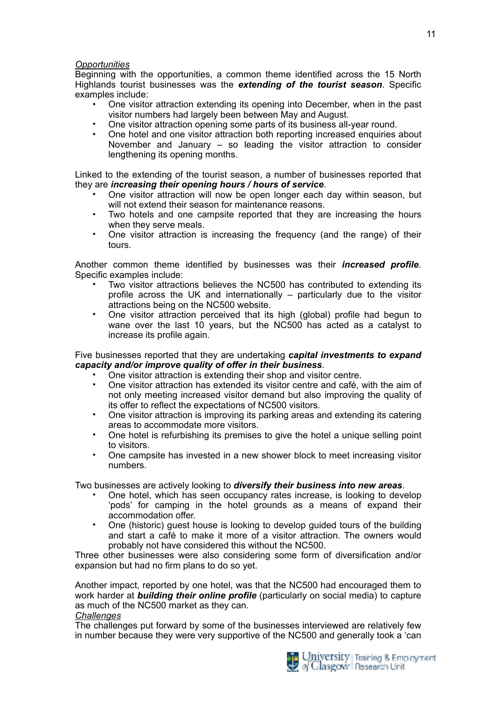## *Opportunities*

Beginning with the opportunities, a common theme identified across the 15 North Highlands tourist businesses was the *extending of the tourist season*. Specific examples include:

- One visitor attraction extending its opening into December, when in the past visitor numbers had largely been between May and August.
- One visitor attraction opening some parts of its business all-year round.
- One hotel and one visitor attraction both reporting increased enquiries about November and January – so leading the visitor attraction to consider lengthening its opening months.

Linked to the extending of the tourist season, a number of businesses reported that they are *increasing their opening hours / hours of service*.

- One visitor attraction will now be open longer each day within season, but will not extend their season for maintenance reasons.
- Two hotels and one campsite reported that they are increasing the hours when they serve meals.
- One visitor attraction is increasing the frequency (and the range) of their tours.

Another common theme identified by businesses was their *increased profile*. Specific examples include:

- Two visitor attractions believes the NC500 has contributed to extending its profile across the UK and internationally – particularly due to the visitor attractions being on the NC500 website.
- One visitor attraction perceived that its high (global) profile had begun to wane over the last 10 years, but the NC500 has acted as a catalyst to increase its profile again.

Five businesses reported that they are undertaking *capital investments to expand capacity and/or improve quality of offer in their business*.

- One visitor attraction is extending their shop and visitor centre.
- One visitor attraction has extended its visitor centre and café, with the aim of not only meeting increased visitor demand but also improving the quality of its offer to reflect the expectations of NC500 visitors.
- One visitor attraction is improving its parking areas and extending its catering areas to accommodate more visitors.
- One hotel is refurbishing its premises to give the hotel a unique selling point to visitors.
- One campsite has invested in a new shower block to meet increasing visitor numbers.

Two businesses are actively looking to *diversify their business into new areas*.

- One hotel, which has seen occupancy rates increase, is looking to develop 'pods' for camping in the hotel grounds as a means of expand their accommodation offer.
- One (historic) guest house is looking to develop guided tours of the building and start a café to make it more of a visitor attraction. The owners would probably not have considered this without the NC500.

Three other businesses were also considering some form of diversification and/or expansion but had no firm plans to do so yet.

Another impact, reported by one hotel, was that the NC500 had encouraged them to work harder at *building their online profile* (particularly on social media) to capture as much of the NC500 market as they can.

#### *Challenges*

The challenges put forward by some of the businesses interviewed are relatively few in number because they were very supportive of the NC500 and generally took a 'can

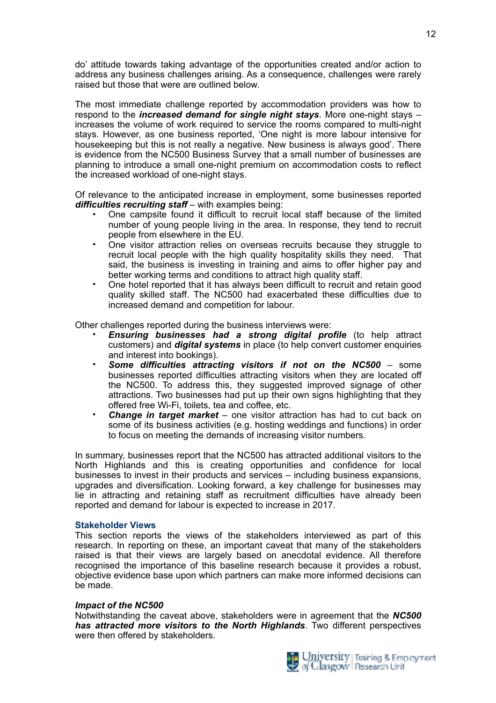do' attitude towards taking advantage of the opportunities created and/or action to address any business challenges arising. As a consequence, challenges were rarely raised but those that were are outlined below.

The most immediate challenge reported by accommodation providers was how to respond to the *increased demand for single night stays*. More one-night stays – increases the volume of work required to service the rooms compared to multi-night stays. However, as one business reported, 'One night is more labour intensive for housekeeping but this is not really a negative. New business is always good'. There is evidence from the NC500 Business Survey that a small number of businesses are planning to introduce a small one-night premium on accommodation costs to reflect the increased workload of one-night stays.

Of relevance to the anticipated increase in employment, some businesses reported *difficulties recruiting staff* – with examples being:

- One campsite found it difficult to recruit local staff because of the limited number of young people living in the area. In response, they tend to recruit people from elsewhere in the EU.
- One visitor attraction relies on overseas recruits because they struggle to recruit local people with the high quality hospitality skills they need. That said, the business is investing in training and aims to offer higher pay and better working terms and conditions to attract high quality staff.
- One hotel reported that it has always been difficult to recruit and retain good quality skilled staff. The NC500 had exacerbated these difficulties due to increased demand and competition for labour.

Other challenges reported during the business interviews were:

- *Ensuring businesses had a strong digital profile* (to help attract customers) and *digital systems* in place (to help convert customer enquiries and interest into bookings).
- *Some difficulties attracting visitors if not on the NC500* some businesses reported difficulties attracting visitors when they are located off the NC500. To address this, they suggested improved signage of other attractions. Two businesses had put up their own signs highlighting that they offered free Wi-Fi, toilets, tea and coffee, etc.
- *Change in target market* one visitor attraction has had to cut back on some of its business activities (e.g. hosting weddings and functions) in order to focus on meeting the demands of increasing visitor numbers.

In summary, businesses report that the NC500 has attracted additional visitors to the North Highlands and this is creating opportunities and confidence for local businesses to invest in their products and services – including business expansions, upgrades and diversification. Looking forward, a key challenge for businesses may lie in attracting and retaining staff as recruitment difficulties have already been reported and demand for labour is expected to increase in 2017.

#### **Stakeholder Views**

This section reports the views of the stakeholders interviewed as part of this research. In reporting on these, an important caveat that many of the stakeholders raised is that their views are largely based on anecdotal evidence. All therefore recognised the importance of this baseline research because it provides a robust, objective evidence base upon which partners can make more informed decisions can be made.

#### *Impact of the NC500*

Notwithstanding the caveat above, stakeholders were in agreement that the *NC500 has attracted more visitors to the North Highlands*. Two different perspectives were then offered by stakeholders.

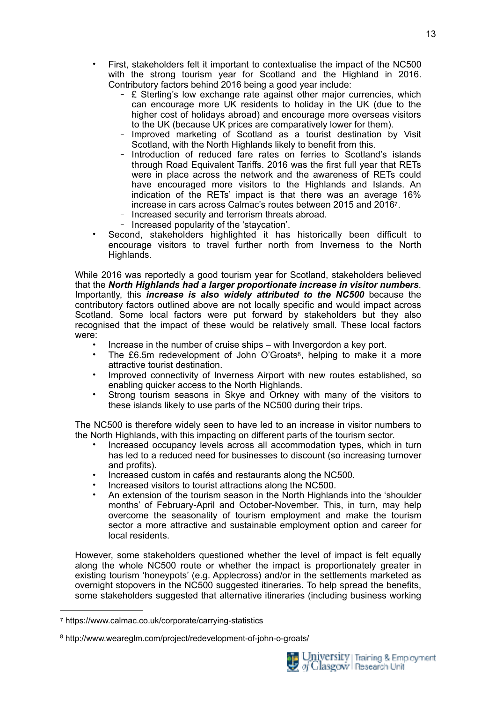- First, stakeholders felt it important to contextualise the impact of the NC500 with the strong tourism year for Scotland and the Highland in 2016. Contributory factors behind 2016 being a good year include:
	- £ Sterling's low exchange rate against other major currencies, which can encourage more UK residents to holiday in the UK (due to the higher cost of holidays abroad) and encourage more overseas visitors to the UK (because UK prices are comparatively lower for them).
	- Improved marketing of Scotland as a tourist destination by Visit Scotland, with the North Highlands likely to benefit from this.
	- Introduction of reduced fare rates on ferries to Scotland's islands through Road Equivalent Tariffs. 2016 was the first full year that RETs were in place across the network and the awareness of RETs could have encouraged more visitors to the Highlands and Islands. An indication of the RETs' impact is that there was an average 16% increase in cars across Calmac's routes between 2015 and 201[67](#page-13-0).
	- Increased security and terrorism threats abroad.
	- Increased popularity of the 'staycation'.
- <span id="page-13-2"></span>Second, stakeholders highlighted it has historically been difficult to encourage visitors to travel further north from Inverness to the North Highlands.

While 2016 was reportedly a good tourism year for Scotland, stakeholders believed that the *North Highlands had a larger proportionate increase in visitor numbers*. Importantly, this *increase is also widely attributed to the NC500* because the contributory factors outlined above are not locally specific and would impact across Scotland. Some local factors were put forward by stakeholders but they also recognised that the impact of these would be relatively small. These local factors were:

- <span id="page-13-3"></span>• Increase in the number of cruise ships – with Invergordon a key port.
- The £6.5m redevelopment of John O'Groat[s8](#page-13-1), helping to make it a more attractive tourist destination.
- Improved connectivity of Inverness Airport with new routes established, so enabling quicker access to the North Highlands.
- Strong tourism seasons in Skye and Orkney with many of the visitors to these islands likely to use parts of the NC500 during their trips.

The NC500 is therefore widely seen to have led to an increase in visitor numbers to the North Highlands, with this impacting on different parts of the tourism sector.

- Increased occupancy levels across all accommodation types, which in turn has led to a reduced need for businesses to discount (so increasing turnover and profits).
- Increased custom in cafés and restaurants along the NC500.
- Increased visitors to tourist attractions along the NC500.
- An extension of the tourism season in the North Highlands into the 'shoulder months' of February-April and October-November. This, in turn, may help overcome the seasonality of tourism employment and make the tourism sector a more attractive and sustainable employment option and career for local residents.

However, some stakeholders questioned whether the level of impact is felt equally along the whole NC500 route or whether the impact is proportionately greater in existing tourism 'honeypots' (e.g. Applecross) and/or in the settlements marketed as overnight stopovers in the NC500 suggested itineraries. To help spread the benefits, some stakeholders suggested that alternative itineraries (including business working

<span id="page-13-0"></span>[<sup>7</sup>](#page-13-2) https://www.calmac.co.uk/corporate/carrying-statistics

<span id="page-13-1"></span>http://www.weareglm.com/project/redevelopment-of-john-o-groats/ [8](#page-13-3)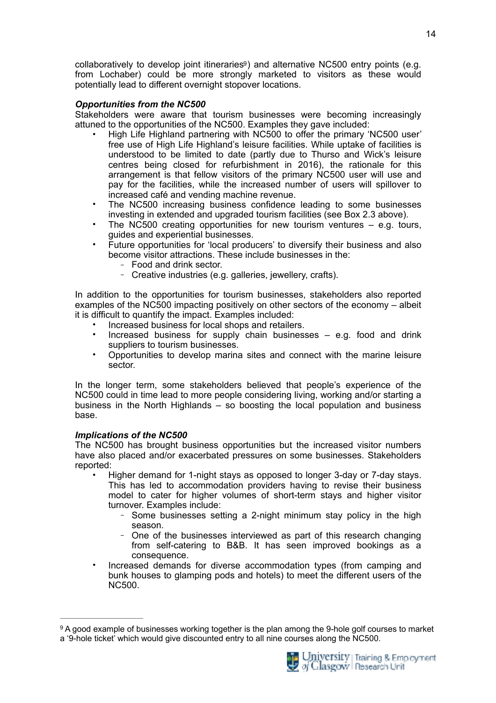collaboratively to develop joint itineraries<sup>9</sup>) and alternative NC500 entry points (e.g. from Lochaber) could be more strongly marketed to visitors as these would potentially lead to different overnight stopover locations.

## *Opportunities from the NC500*

Stakeholders were aware that tourism businesses were becoming increasingly attuned to the opportunities of the NC500. Examples they gave included:

- <span id="page-14-1"></span>• High Life Highland partnering with NC500 to offer the primary 'NC500 user' free use of High Life Highland's leisure facilities. While uptake of facilities is understood to be limited to date (partly due to Thurso and Wick's leisure centres being closed for refurbishment in 2016), the rationale for this arrangement is that fellow visitors of the primary NC500 user will use and pay for the facilities, while the increased number of users will spillover to increased café and vending machine revenue.
- The NC500 increasing business confidence leading to some businesses investing in extended and upgraded tourism facilities (see Box 2.3 above).
- The NC500 creating opportunities for new tourism ventures  $-$  e.g. tours, guides and experiential businesses.
- Future opportunities for 'local producers' to diversify their business and also become visitor attractions. These include businesses in the:
	- Food and drink sector.
	- Creative industries (e.g. galleries, jewellery, crafts).

In addition to the opportunities for tourism businesses, stakeholders also reported examples of the NC500 impacting positively on other sectors of the economy – albeit it is difficult to quantify the impact. Examples included:

- Increased business for local shops and retailers.
- Increased business for supply chain businesses  $-$  e.g. food and drink suppliers to tourism businesses.
- Opportunities to develop marina sites and connect with the marine leisure sector.

In the longer term, some stakeholders believed that people's experience of the NC500 could in time lead to more people considering living, working and/or starting a business in the North Highlands – so boosting the local population and business base.

## *Implications of the NC500*

The NC500 has brought business opportunities but the increased visitor numbers have also placed and/or exacerbated pressures on some businesses. Stakeholders reported:

- Higher demand for 1-night stays as opposed to longer 3-day or 7-day stays. This has led to accommodation providers having to revise their business model to cater for higher volumes of short-term stays and higher visitor turnover. Examples include:
	- Some businesses setting a 2-night minimum stay policy in the high season.
	- One of the businesses interviewed as part of this research changing from self-catering to B&B. It has seen improved bookings as a consequence.
- Increased demands for diverse accommodation types (from camping and bunk houses to glamping pods and hotels) to meet the different users of the NC500.

<span id="page-14-0"></span><sup>&</sup>lt;sup>9</sup>A good example of businesses working together is the plan among the [9](#page-14-1)-hole golf courses to market a '9-hole ticket' which would give discounted entry to all nine courses along the NC500.

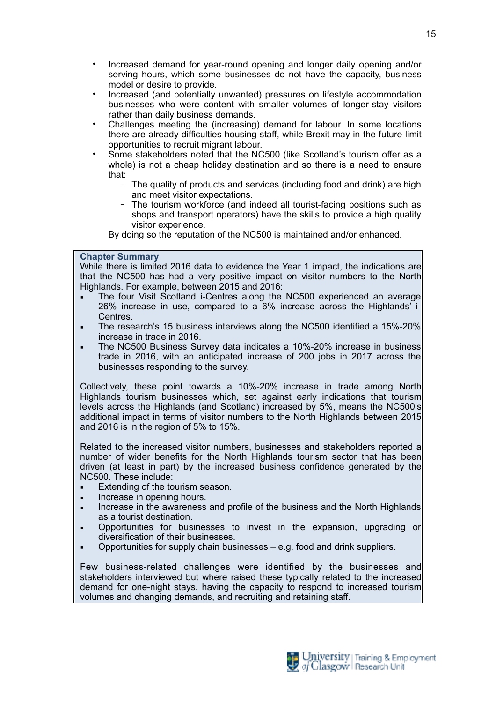- Increased demand for year-round opening and longer daily opening and/or serving hours, which some businesses do not have the capacity, business model or desire to provide.
- Increased (and potentially unwanted) pressures on lifestyle accommodation businesses who were content with smaller volumes of longer-stay visitors rather than daily business demands.
- Challenges meeting the (increasing) demand for labour. In some locations there are already difficulties housing staff, while Brexit may in the future limit opportunities to recruit migrant labour.
- Some stakeholders noted that the NC500 (like Scotland's tourism offer as a whole) is not a cheap holiday destination and so there is a need to ensure that:
	- The quality of products and services (including food and drink) are high and meet visitor expectations.
	- The tourism workforce (and indeed all tourist-facing positions such as shops and transport operators) have the skills to provide a high quality visitor experience.

By doing so the reputation of the NC500 is maintained and/or enhanced.

#### **Chapter Summary**

While there is limited 2016 data to evidence the Year 1 impact, the indications are that the NC500 has had a very positive impact on visitor numbers to the North Highlands. For example, between 2015 and 2016:

- The four Visit Scotland i-Centres along the NC500 experienced an average 26% increase in use, compared to a 6% increase across the Highlands' i-**Centres**
- The research's 15 business interviews along the NC500 identified a 15%-20% increase in trade in 2016.
- The NC500 Business Survey data indicates a 10%-20% increase in business trade in 2016, with an anticipated increase of 200 jobs in 2017 across the businesses responding to the survey.

Collectively, these point towards a 10%-20% increase in trade among North Highlands tourism businesses which, set against early indications that tourism levels across the Highlands (and Scotland) increased by 5%, means the NC500's additional impact in terms of visitor numbers to the North Highlands between 2015 and 2016 is in the region of 5% to 15%.

Related to the increased visitor numbers, businesses and stakeholders reported a number of wider benefits for the North Highlands tourism sector that has been driven (at least in part) by the increased business confidence generated by the NC500. These include:

- Extending of the tourism season.
- Increase in opening hours.
- Increase in the awareness and profile of the business and the North Highlands as a tourist destination.
- Opportunities for businesses to invest in the expansion, upgrading or diversification of their businesses.
- Opportunities for supply chain businesses  $-$  e.g. food and drink suppliers.

Few business-related challenges were identified by the businesses and stakeholders interviewed but where raised these typically related to the increased demand for one-night stays, having the capacity to respond to increased tourism volumes and changing demands, and recruiting and retaining staff.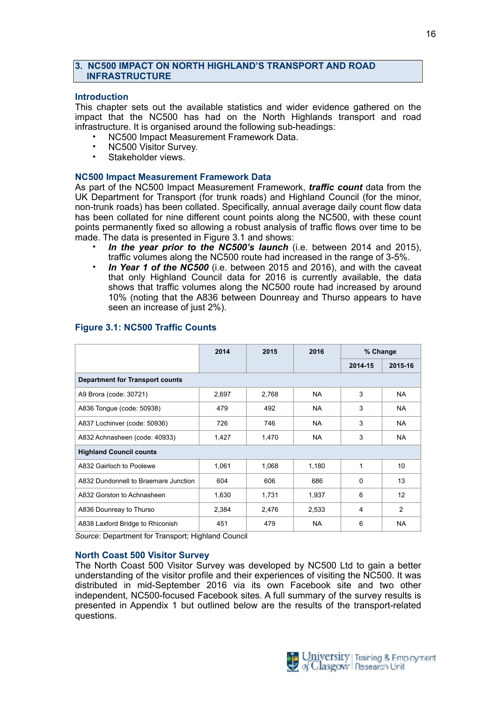#### **3. NC500 IMPACT ON NORTH HIGHLAND'S TRANSPORT AND ROAD INFRASTRUCTURE**

#### **Introduction**

This chapter sets out the available statistics and wider evidence gathered on the impact that the NC500 has had on the North Highlands transport and road infrastructure. It is organised around the following sub-headings:

- NC500 Impact Measurement Framework Data.
- NC500 Visitor Survey.
- Stakeholder views.

#### **NC500 Impact Measurement Framework Data**

As part of the NC500 Impact Measurement Framework, *traffic count* data from the UK Department for Transport (for trunk roads) and Highland Council (for the minor, non-trunk roads) has been collated. Specifically, annual average daily count flow data has been collated for nine different count points along the NC500, with these count points permanently fixed so allowing a robust analysis of traffic flows over time to be made. The data is presented in Figure 3.1 and shows:

- *In the year prior to the NC500's launch* (i.e. between 2014 and 2015), traffic volumes along the NC500 route had increased in the range of 3-5%.
- *In Year 1 of the NC500* (i.e. between 2015 and 2016), and with the caveat that only Highland Council data for 2016 is currently available, the data shows that traffic volumes along the NC500 route had increased by around 10% (noting that the A836 between Dounreay and Thurso appears to have seen an increase of just 2%).

|                                        | 2014  | 2015  | 2016      | % Change |                |  |  |  |
|----------------------------------------|-------|-------|-----------|----------|----------------|--|--|--|
|                                        |       |       |           | 2014-15  | 2015-16        |  |  |  |
| <b>Department for Transport counts</b> |       |       |           |          |                |  |  |  |
| A9 Brora (code: 30721)                 | 2,697 | 2,768 | <b>NA</b> | 3        | <b>NA</b>      |  |  |  |
| A836 Tongue (code: 50938)              | 479   | 492   | <b>NA</b> | 3        | <b>NA</b>      |  |  |  |
| A837 Lochinver (code: 50936)           | 726   | 746   | NA.       | 3        | NA.            |  |  |  |
| A832 Achnasheen (code: 40933)          | 1,427 | 1,470 | <b>NA</b> | 3        | NA.            |  |  |  |
| <b>Highland Council counts</b>         |       |       |           |          |                |  |  |  |
| A832 Gairloch to Poolewe               | 1,061 | 1,068 | 1,180     | 1        | 10             |  |  |  |
| A832 Dundonnell to Braemare Junction   | 604   | 606   | 686       | $\Omega$ | 13             |  |  |  |
| A832 Gorston to Achnasheen             | 1,630 | 1,731 | 1,937     | 6        | 12             |  |  |  |
| A836 Dounreay to Thurso                | 2,384 | 2,476 | 2,533     | 4        | $\mathfrak{p}$ |  |  |  |
| A838 Laxford Bridge to Rhiconish       | 451   | 479   | <b>NA</b> | 6        | <b>NA</b>      |  |  |  |

## **Figure 3.1: NC500 Traffic Counts**

*Source*: Department for Transport; Highland Council

#### **North Coast 500 Visitor Survey**

The North Coast 500 Visitor Survey was developed by NC500 Ltd to gain a better understanding of the visitor profile and their experiences of visiting the NC500. It was distributed in mid-September 2016 via its own Facebook site and two other independent, NC500-focused Facebook sites. A full summary of the survey results is presented in Appendix 1 but outlined below are the results of the transport-related questions.

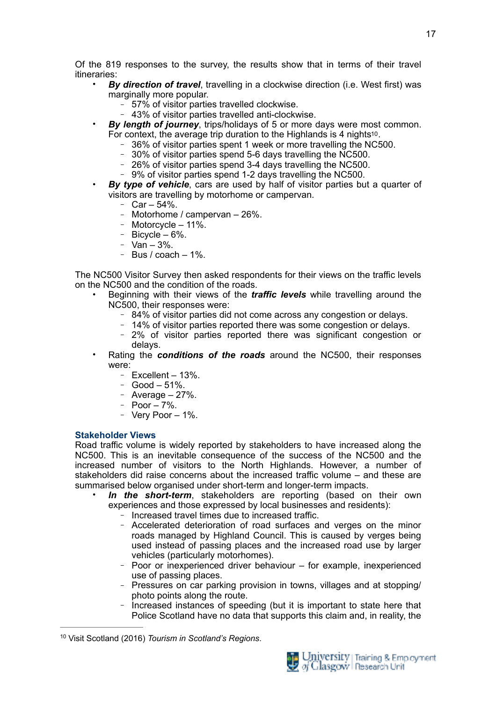Of the 819 responses to the survey, the results show that in terms of their travel itineraries:

- *By direction of travel*, travelling in a clockwise direction (i.e. West first) was marginally more popular.
	- 57% of visitor parties travelled clockwise.
	- 43% of visitor parties travelled anti-clockwise.
- <span id="page-17-1"></span>• *By length of journey*, trips/holidays of 5 or more days were most common. For context, the average trip duration to the Highlands is 4 nights<sup>10</sup>.
	- 36% of visitor parties spent 1 week or more travelling the NC500.
	- 30% of visitor parties spend 5-6 days travelling the NC500.
	- 26% of visitor parties spend 3-4 days travelling the NC500.
	- 9% of visitor parties spend 1-2 days travelling the NC500.
- *By type of vehicle*, cars are used by half of visitor parties but a quarter of visitors are travelling by motorhome or campervan.
	- $-$  Car  $-$  54%.
	- Motorhome / campervan 26%.
	- Motorcycle 11%.
	- $-$  Bicycle  $-6\%$ .
	- $-$  Van  $-$  3%.
	- $-$  Bus / coach  $-1\%$ .

The NC500 Visitor Survey then asked respondents for their views on the traffic levels on the NC500 and the condition of the roads.

- Beginning with their views of the *traffic levels* while travelling around the NC500, their responses were:
	- 84% of visitor parties did not come across any congestion or delays.
	- 14% of visitor parties reported there was some congestion or delays.
	- 2% of visitor parties reported there was significant congestion or delays.
	- Rating the *conditions of the roads* around the NC500, their responses were:
		- $-$  Excellent  $-$  13%.
		- $-$  Good  $-51%$ .
		- Average  $-27%$ .
		- $-$  Poor  $-7\%$ .
		- $-$  Very Poor  $-1\%$ .

## **Stakeholder Views**

Road traffic volume is widely reported by stakeholders to have increased along the NC500. This is an inevitable consequence of the success of the NC500 and the increased number of visitors to the North Highlands. However, a number of stakeholders did raise concerns about the increased traffic volume – and these are summarised below organised under short-term and longer-term impacts.

- *In the short-term*, stakeholders are reporting (based on their own experiences and those expressed by local businesses and residents):
	- Increased travel times due to increased traffic.
	- Accelerated deterioration of road surfaces and verges on the minor roads managed by Highland Council. This is caused by verges being used instead of passing places and the increased road use by larger vehicles (particularly motorhomes).
	- Poor or inexperienced driver behaviour for example, inexperienced use of passing places.
	- Pressures on car parking provision in towns, villages and at stopping/ photo points along the route.
	- Increased instances of speeding (but it is important to state here that Police Scotland have no data that supports this claim and, in reality, the

<span id="page-17-0"></span><sup>&</sup>lt;sup>[10](#page-17-1)</sup> Visit Scotland (2016) *Tourism in Scotland's Regions.*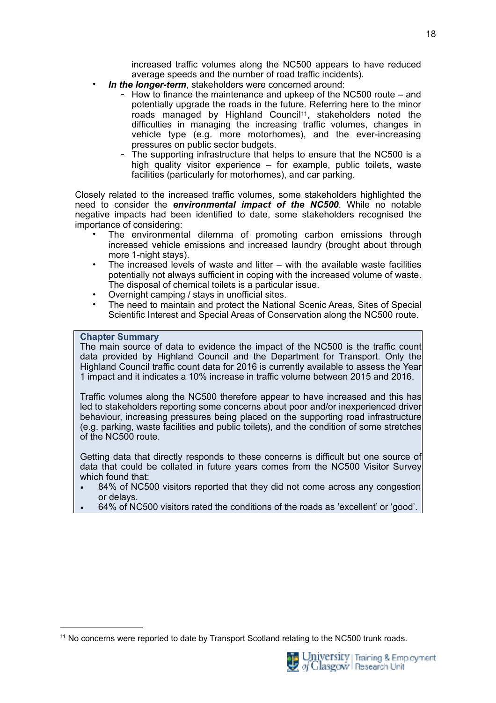<span id="page-18-1"></span>increased traffic volumes along the NC500 appears to have reduced average speeds and the number of road traffic incidents).

- *In the longer-term*, stakeholders were concerned around:
	- How to finance the maintenance and upkeep of the NC500 route and potentially upgrade the roads in the future. Referring here to the minor roads managed by Highland Council<sup>11</sup>, stakeholders noted the difficulties in managing the increasing traffic volumes, changes in vehicle type (e.g. more motorhomes), and the ever-increasing pressures on public sector budgets.
	- The supporting infrastructure that helps to ensure that the NC500 is a high quality visitor experience – for example, public toilets, waste facilities (particularly for motorhomes), and car parking.

Closely related to the increased traffic volumes, some stakeholders highlighted the need to consider the *environmental impact of the NC500*. While no notable negative impacts had been identified to date, some stakeholders recognised the importance of considering:

- The environmental dilemma of promoting carbon emissions through increased vehicle emissions and increased laundry (brought about through more 1-night stays).
- The increased levels of waste and litter  $-$  with the available waste facilities potentially not always sufficient in coping with the increased volume of waste. The disposal of chemical toilets is a particular issue.
- Overnight camping / stays in unofficial sites.
- The need to maintain and protect the National Scenic Areas, Sites of Special Scientific Interest and Special Areas of Conservation along the NC500 route.

#### **Chapter Summary**

The main source of data to evidence the impact of the NC500 is the traffic count data provided by Highland Council and the Department for Transport. Only the Highland Council traffic count data for 2016 is currently available to assess the Year 1 impact and it indicates a 10% increase in traffic volume between 2015 and 2016.

Traffic volumes along the NC500 therefore appear to have increased and this has led to stakeholders reporting some concerns about poor and/or inexperienced driver behaviour, increasing pressures being placed on the supporting road infrastructure (e.g. parking, waste facilities and public toilets), and the condition of some stretches of the NC500 route.

Getting data that directly responds to these concerns is difficult but one source of data that could be collated in future years comes from the NC500 Visitor Survey which found that:

- 84% of NC500 visitors reported that they did not come across any congestion or delays.
- 64% of NC500 visitors rated the conditions of the roads as 'excellent' or 'good'.

<span id="page-18-0"></span> $11$  No concerns were reported to date by Transport Scotland relating to the NC500 trunk roads.

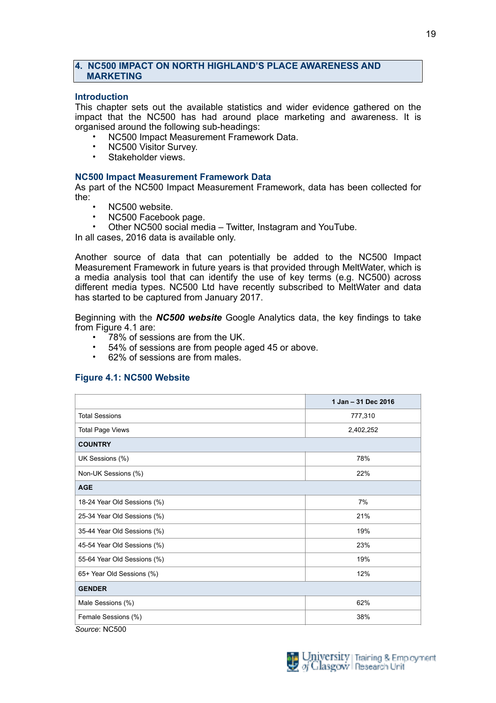#### **4. NC500 IMPACT ON NORTH HIGHLAND'S PLACE AWARENESS AND MARKETING**

#### **Introduction**

This chapter sets out the available statistics and wider evidence gathered on the impact that the NC500 has had around place marketing and awareness. It is organised around the following sub-headings:

- NC500 Impact Measurement Framework Data.
- NC500 Visitor Survey.
- Stakeholder views.

#### **NC500 Impact Measurement Framework Data**

As part of the NC500 Impact Measurement Framework, data has been collected for the:

- NC500 website.
- NC500 Facebook page.
- Other NC500 social media Twitter, Instagram and YouTube.

In all cases, 2016 data is available only.

Another source of data that can potentially be added to the NC500 Impact Measurement Framework in future years is that provided through MeltWater, which is a media analysis tool that can identify the use of key terms (e.g. NC500) across different media types. NC500 Ltd have recently subscribed to MeltWater and data has started to be captured from January 2017.

Beginning with the *NC500 website* Google Analytics data, the key findings to take from Figure 4.1 are:

- 78% of sessions are from the UK.
- 54% of sessions are from people aged 45 or above.
- 62% of sessions are from males.

#### **Figure 4.1: NC500 Website**

|                             | 1 Jan - 31 Dec 2016 |
|-----------------------------|---------------------|
| <b>Total Sessions</b>       | 777,310             |
| <b>Total Page Views</b>     | 2,402,252           |
| <b>COUNTRY</b>              |                     |
| UK Sessions (%)             | 78%                 |
| Non-UK Sessions (%)         | 22%                 |
| <b>AGE</b>                  |                     |
| 18-24 Year Old Sessions (%) | 7%                  |
| 25-34 Year Old Sessions (%) | 21%                 |
| 35-44 Year Old Sessions (%) | 19%                 |
| 45-54 Year Old Sessions (%) | 23%                 |
| 55-64 Year Old Sessions (%) | 19%                 |
| 65+ Year Old Sessions (%)   | 12%                 |
| <b>GENDER</b>               |                     |
| Male Sessions (%)           | 62%                 |
| Female Sessions (%)         | 38%                 |
| Source: NC500               |                     |



University | Training & Employment of Clasgovy Research Unit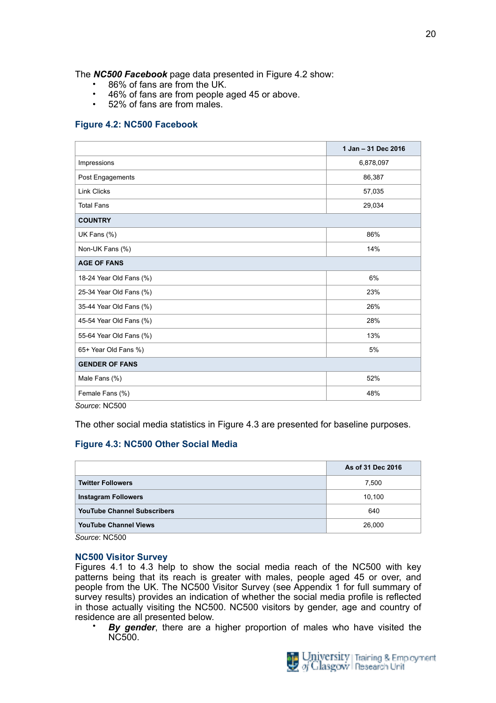The *NC500 Facebook* page data presented in Figure 4.2 show:

- 86% of fans are from the UK.
- 46% of fans are from people aged 45 or above.
- 52% of fans are from males.

## **Figure 4.2: NC500 Facebook**

|                         | 1 Jan - 31 Dec 2016 |
|-------------------------|---------------------|
| Impressions             | 6,878,097           |
| Post Engagements        | 86,387              |
| <b>Link Clicks</b>      | 57,035              |
| <b>Total Fans</b>       | 29,034              |
| <b>COUNTRY</b>          |                     |
| UK Fans (%)             | 86%                 |
| Non-UK Fans (%)         | 14%                 |
| <b>AGE OF FANS</b>      |                     |
| 18-24 Year Old Fans (%) | 6%                  |
| 25-34 Year Old Fans (%) | 23%                 |
| 35-44 Year Old Fans (%) | 26%                 |
| 45-54 Year Old Fans (%) | 28%                 |
| 55-64 Year Old Fans (%) | 13%                 |
| 65+ Year Old Fans %)    | 5%                  |
| <b>GENDER OF FANS</b>   |                     |
| Male Fans (%)           | 52%                 |
| Female Fans (%)         | 48%                 |
| Source: NC500           |                     |

The other social media statistics in Figure 4.3 are presented for baseline purposes.

## **Figure 4.3: NC500 Other Social Media**

|                                    | As of 31 Dec 2016 |
|------------------------------------|-------------------|
| <b>Twitter Followers</b>           | 7,500             |
| <b>Instagram Followers</b>         | 10,100            |
| <b>YouTube Channel Subscribers</b> | 640               |
| <b>YouTube Channel Views</b>       | 26,000            |

*Source*: NC500

#### **NC500 Visitor Survey**

Figures 4.1 to 4.3 help to show the social media reach of the NC500 with key patterns being that its reach is greater with males, people aged 45 or over, and people from the UK. The NC500 Visitor Survey (see Appendix 1 for full summary of survey results) provides an indication of whether the social media profile is reflected in those actually visiting the NC500. NC500 visitors by gender, age and country of residence are all presented below.

• *By gender*, there are a higher proportion of males who have visited the NC500.

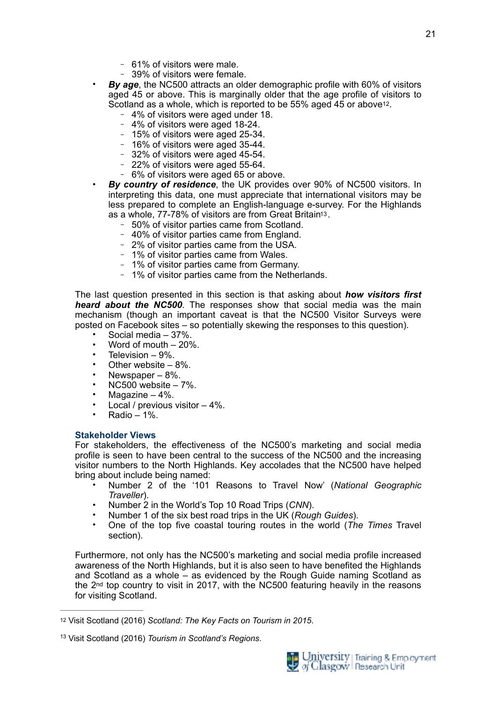- 61% of visitors were male.
- <span id="page-21-2"></span>39% of visitors were female.
- *By age*, the NC500 attracts an older demographic profile with 60% of visitors aged 45 or above. This is marginally older that the age profile of visitors to Scotland as a whole, which is reported to be 55% aged 45 or above<sup>12</sup>.
	- 4% of visitors were aged under 18.
	- 4% of visitors were aged 18-24.
	- 15% of visitors were aged 25-34.
	- 16% of visitors were aged 35-44.
	- 32% of visitors were aged 45-54.
	- 22% of visitors were aged 55-64.
	- 6% of visitors were aged 65 or above.
- <span id="page-21-3"></span>• *By country of residence*, the UK provides over 90% of NC500 visitors. In interpreting this data, one must appreciate that international visitors may be less prepared to complete an English-language e-survey. For the Highlands as a whole, 77-78% of visitors are from Great Britai[n13](#page-21-1).
	- 50% of visitor parties came from Scotland.
	- 40% of visitor parties came from England.
	- 2% of visitor parties came from the USA.
	- 1% of visitor parties came from Wales.
	- 1% of visitor parties came from Germany.
	- 1% of visitor parties came from the Netherlands.

The last question presented in this section is that asking about *how visitors first heard about the NC500*. The responses show that social media was the main mechanism (though an important caveat is that the NC500 Visitor Surveys were posted on Facebook sites – so potentially skewing the responses to this question).

- Social media 37%.
- Word of mouth  $-20\%$ .
- Television  $-9\%$ .
- Other website  $-8\%$ .
- Newspaper 8%.
- NC500 website  $-7\%$ .
- Magazine  $-4\%$ .
- Local / previous visitor  $-4\%$ .
- $Radio 1\%$ .

## **Stakeholder Views**

For stakeholders, the effectiveness of the NC500's marketing and social media profile is seen to have been central to the success of the NC500 and the increasing visitor numbers to the North Highlands. Key accolades that the NC500 have helped bring about include being named:

- Number 2 of the '101 Reasons to Travel Now' (*National Geographic Traveller*).
- Number 2 in the World's Top 10 Road Trips (*CNN*).
- Number 1 of the six best road trips in the UK (*Rough Guides*).
- One of the top five coastal touring routes in the world (*The Times* Travel section).

Furthermore, not only has the NC500's marketing and social media profile increased awareness of the North Highlands, but it is also seen to have benefited the Highlands and Scotland as a whole – as evidenced by the Rough Guide naming Scotland as the 2nd top country to visit in 2017, with the NC500 featuring heavily in the reasons for visiting Scotland.

<span id="page-21-1"></span><sup>&</sup>lt;sup>[13](#page-21-3)</sup> Visit Scotland (2016) *Tourism in Scotland's Regions.* 



<span id="page-21-0"></span><sup>&</sup>lt;sup>[12](#page-21-2)</sup> Visit Scotland (2016) *Scotland: The Key Facts on Tourism in 2015*.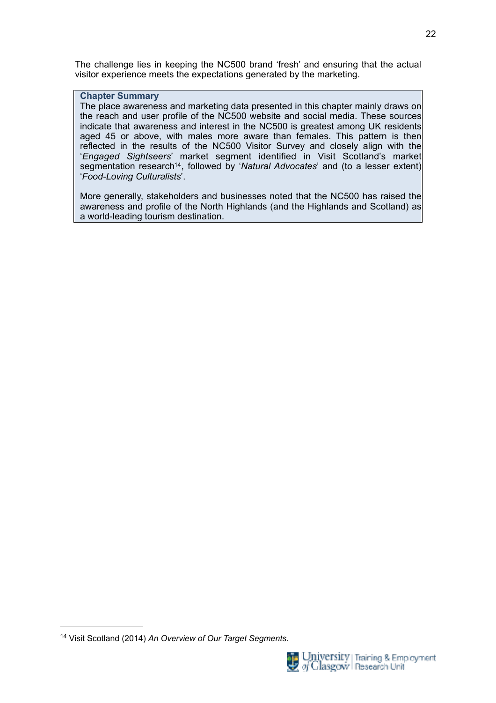The challenge lies in keeping the NC500 brand 'fresh' and ensuring that the actual visitor experience meets the expectations generated by the marketing.

#### **Chapter Summary**

The place awareness and marketing data presented in this chapter mainly draws on the reach and user profile of the NC500 website and social media. These sources indicate that awareness and interest in the NC500 is greatest among UK residents aged 45 or above, with males more aware than females. This pattern is then reflected in the results of the NC500 Visitor Survey and closely align with the '*Engaged Sightseers*' market segment identified in Visit Scotland's market segmentation research<sup>[14](#page-22-0)</sup>, followed by '*Natural Advocates*' and (to a lesser extent) '*Food-Loving Culturalists*'.

<span id="page-22-1"></span>More generally, stakeholders and businesses noted that the NC500 has raised the awareness and profile of the North Highlands (and the Highlands and Scotland) as a world-leading tourism destination.

<span id="page-22-0"></span><sup>&</sup>lt;sup>[14](#page-22-1)</sup> Visit Scotland (2014) An Overview of Our Target Segments.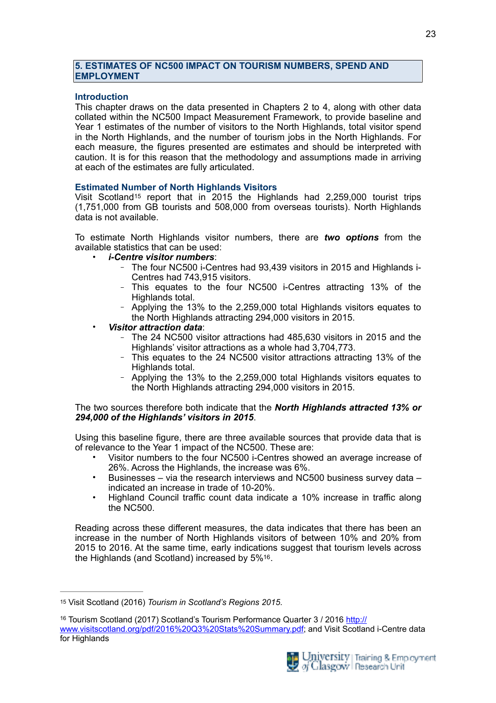#### **5. ESTIMATES OF NC500 IMPACT ON TOURISM NUMBERS, SPEND AND EMPLOYMENT**

#### **Introduction**

This chapter draws on the data presented in Chapters 2 to 4, along with other data collated within the NC500 Impact Measurement Framework, to provide baseline and Year 1 estimates of the number of visitors to the North Highlands, total visitor spend in the North Highlands, and the number of tourism jobs in the North Highlands. For each measure, the figures presented are estimates and should be interpreted with caution. It is for this reason that the methodology and assumptions made in arriving at each of the estimates are fully articulated.

#### **Estimated Number of North Highlands Visitors**

<span id="page-23-2"></span>Visit Scotland[15](#page-23-0) report that in 2015 the Highlands had 2,259,000 tourist trips (1,751,000 from GB tourists and 508,000 from overseas tourists). North Highlands data is not available.

To estimate North Highlands visitor numbers, there are *two options* from the available statistics that can be used:

#### • *i-Centre visitor numbers*:

- The four NC500 i-Centres had 93,439 visitors in 2015 and Highlands i-Centres had 743,915 visitors.
- This equates to the four NC500 i-Centres attracting 13% of the Highlands total.
- Applying the 13% to the 2,259,000 total Highlands visitors equates to the North Highlands attracting 294,000 visitors in 2015.
- *Visitor attraction data*:
	- The 24 NC500 visitor attractions had 485,630 visitors in 2015 and the Highlands' visitor attractions as a whole had 3,704,773.
	- This equates to the 24 NC500 visitor attractions attracting 13% of the Highlands total.
	- Applying the 13% to the 2,259,000 total Highlands visitors equates to the North Highlands attracting 294,000 visitors in 2015.

The two sources therefore both indicate that the *North Highlands attracted 13% or 294,000 of the Highlands' visitors in 2015*.

Using this baseline figure, there are three available sources that provide data that is of relevance to the Year 1 impact of the NC500. These are:

- Visitor numbers to the four NC500 i-Centres showed an average increase of 26%. Across the Highlands, the increase was 6%.
- Businesses via the research interviews and NC500 business survey data indicated an increase in trade of 10-20%.
- <span id="page-23-3"></span>• Highland Council traffic count data indicate a 10% increase in traffic along the NC500.

Reading across these different measures, the data indicates that there has been an increase in the number of North Highlands visitors of between 10% and 20% from 2015 to 2016. At the same time, early indications suggest that tourism levels across the Highlands (and Scotland) increased by 5[%16](#page-23-1).

<span id="page-23-0"></span><sup>&</sup>lt;sup>[15](#page-23-2)</sup> Visit Scotland (2016) *Tourism in Scotland's Regions 2015*.

<span id="page-23-1"></span><sup>&</sup>lt;sup>16</sup> Tourism Scotland (2017) Scotland's Tourism Performance Quarter 3 / 2016 [http://](http://www.visitscotland.org/pdf/2016%2520Q3%2520Stats%2520Summary.pdf) [www.visitscotland.org/pdf/2016%20Q3%20Stats%20Summary.pdf](http://www.visitscotland.org/pdf/2016%2520Q3%2520Stats%2520Summary.pdf); and Visit Scotland i-Centre data for Highlands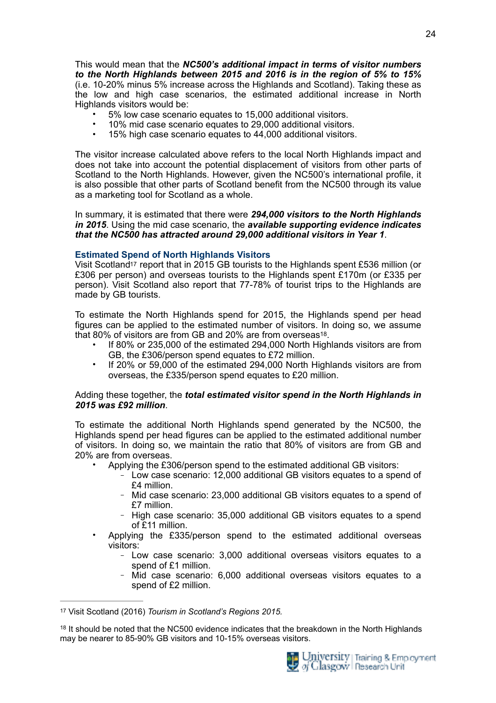This would mean that the *NC500's additional impact in terms of visitor numbers to the North Highlands between 2015 and 2016 is in the region of 5% to 15%* (i.e. 10-20% minus 5% increase across the Highlands and Scotland). Taking these as the low and high case scenarios, the estimated additional increase in North Highlands visitors would be:

- 5% low case scenario equates to 15,000 additional visitors.
- 10% mid case scenario equates to 29,000 additional visitors.
- 15% high case scenario equates to 44,000 additional visitors.

The visitor increase calculated above refers to the local North Highlands impact and does not take into account the potential displacement of visitors from other parts of Scotland to the North Highlands. However, given the NC500's international profile, it is also possible that other parts of Scotland benefit from the NC500 through its value as a marketing tool for Scotland as a whole.

In summary, it is estimated that there were *294,000 visitors to the North Highlands in 2015*. Using the mid case scenario, the *available supporting evidence indicates that the NC500 has attracted around 29,000 additional visitors in Year 1*.

#### **Estimated Spend of North Highlands Visitors**

<span id="page-24-2"></span>Visit Scotlan[d17](#page-24-0) report that in 2015 GB tourists to the Highlands spent £536 million (or £306 per person) and overseas tourists to the Highlands spent £170m (or £335 per person). Visit Scotland also report that 77-78% of tourist trips to the Highlands are made by GB tourists.

To estimate the North Highlands spend for 2015, the Highlands spend per head figures can be applied to the estimated number of visitors. In doing so, we assume that 80% of visitors are from GB and 20% are from oversea[s18](#page-24-1).

- If 80% or 235,000 of the estimated 294,000 North Highlands visitors are from GB, the £306/person spend equates to £72 million.
- <span id="page-24-3"></span>• If 20% or 59,000 of the estimated 294,000 North Highlands visitors are from overseas, the £335/person spend equates to £20 million.

#### Adding these together, the *total estimated visitor spend in the North Highlands in 2015 was £92 million*.

To estimate the additional North Highlands spend generated by the NC500, the Highlands spend per head figures can be applied to the estimated additional number of visitors. In doing so, we maintain the ratio that 80% of visitors are from GB and 20% are from overseas.

- Applying the £306/person spend to the estimated additional GB visitors:
	- Low case scenario: 12,000 additional GB visitors equates to a spend of £4 million.
	- Mid case scenario: 23,000 additional GB visitors equates to a spend of £7 million.
	- High case scenario: 35,000 additional GB visitors equates to a spend of £11 million.
- Applying the £335/person spend to the estimated additional overseas visitors:
	- Low case scenario: 3,000 additional overseas visitors equates to a spend of £1 million.
	- Mid case scenario: 6,000 additional overseas visitors equates to a spend of £2 million.

<span id="page-24-0"></span><sup>&</sup>lt;sup>[17](#page-24-2)</sup> Visit Scotland (2016) *Tourism in Scotland's Regions 2015.* 

<span id="page-24-1"></span> $18$  It should be noted that the NC500 evidence indicates that the breakdown in the North Highlands may be nearer to 85-90% GB visitors and 10-15% overseas visitors.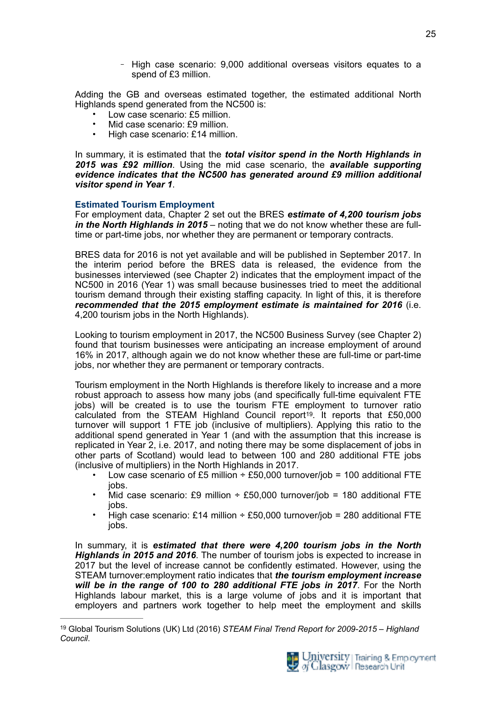High case scenario: 9,000 additional overseas visitors equates to a spend of £3 million.

Adding the GB and overseas estimated together, the estimated additional North Highlands spend generated from the NC500 is:

- Low case scenario: £5 million.
- Mid case scenario: £9 million.
- High case scenario: £14 million.

In summary, it is estimated that the *total visitor spend in the North Highlands in 2015 was £92 million*. Using the mid case scenario, the *available supporting evidence indicates that the NC500 has generated around £9 million additional visitor spend in Year 1*.

#### **Estimated Tourism Employment**

For employment data, Chapter 2 set out the BRES *estimate of 4,200 tourism jobs in the North Highlands in 2015* – noting that we do not know whether these are fulltime or part-time jobs, nor whether they are permanent or temporary contracts.

BRES data for 2016 is not yet available and will be published in September 2017. In the interim period before the BRES data is released, the evidence from the businesses interviewed (see Chapter 2) indicates that the employment impact of the NC500 in 2016 (Year 1) was small because businesses tried to meet the additional tourism demand through their existing staffing capacity. In light of this, it is therefore *recommended that the 2015 employment estimate is maintained for 2016* (i.e. 4,200 tourism jobs in the North Highlands).

Looking to tourism employment in 2017, the NC500 Business Survey (see Chapter 2) found that tourism businesses were anticipating an increase employment of around 16% in 2017, although again we do not know whether these are full-time or part-time jobs, nor whether they are permanent or temporary contracts.

Tourism employment in the North Highlands is therefore likely to increase and a more robust approach to assess how many jobs (and specifically full-time equivalent FTE jobs) will be created is to use the tourism FTE employment to turnover ratio calculated from the STEAM Highland Council report<sup>19</sup>. It reports that £50,000 turnover will support 1 FTE job (inclusive of multipliers). Applying this ratio to the additional spend generated in Year 1 (and with the assumption that this increase is replicated in Year 2, i.e. 2017, and noting there may be some displacement of jobs in other parts of Scotland) would lead to between 100 and 280 additional FTE jobs (inclusive of multipliers) in the North Highlands in 2017.

- <span id="page-25-1"></span>Low case scenario of £5 million  $\div$  £50,000 turnover/job = 100 additional FTE jobs.
- Mid case scenario: £9 million  $\div$  £50,000 turnover/job = 180 additional FTE jobs.
- High case scenario: £14 million ÷ £50,000 turnover/job = 280 additional FTE jobs.

In summary, it is *estimated that there were 4,200 tourism jobs in the North Highlands in 2015 and 2016*. The number of tourism jobs is expected to increase in 2017 but the level of increase cannot be confidently estimated. However, using the STEAM turnover:employment ratio indicates that *the tourism employment increase will be in the range of 100 to 280 additional FTE jobs in 2017*. For the North Highlands labour market, this is a large volume of jobs and it is important that employers and partners work together to help meet the employment and skills

<span id="page-25-0"></span><sup>&</sup>lt;sup>[19](#page-25-1)</sup> Global Tourism Solutions (UK) Ltd (2016) *STEAM Final Trend Report for 2009-2015 – Highland Council*.

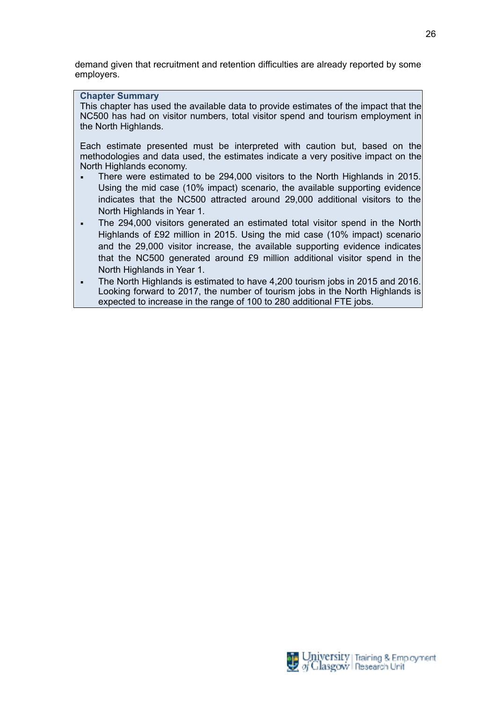demand given that recruitment and retention difficulties are already reported by some employers.

#### **Chapter Summary**

This chapter has used the available data to provide estimates of the impact that the NC500 has had on visitor numbers, total visitor spend and tourism employment in the North Highlands.

Each estimate presented must be interpreted with caution but, based on the methodologies and data used, the estimates indicate a very positive impact on the North Highlands economy.

- There were estimated to be 294,000 visitors to the North Highlands in 2015. Using the mid case (10% impact) scenario, the available supporting evidence indicates that the NC500 attracted around 29,000 additional visitors to the North Highlands in Year 1.
- The 294,000 visitors generated an estimated total visitor spend in the North Highlands of £92 million in 2015. Using the mid case (10% impact) scenario and the 29,000 visitor increase, the available supporting evidence indicates that the NC500 generated around £9 million additional visitor spend in the North Highlands in Year 1.
- The North Highlands is estimated to have 4,200 tourism jobs in 2015 and 2016. Looking forward to 2017, the number of tourism jobs in the North Highlands is expected to increase in the range of 100 to 280 additional FTE jobs.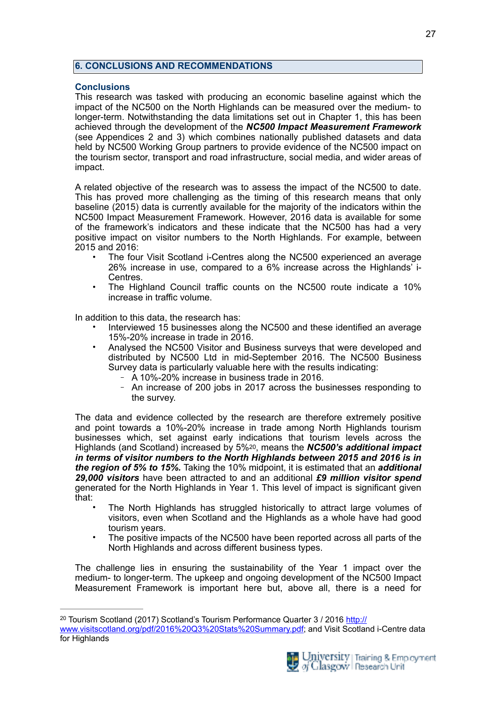## **6. CONCLUSIONS AND RECOMMENDATIONS**

#### **Conclusions**

This research was tasked with producing an economic baseline against which the impact of the NC500 on the North Highlands can be measured over the medium- to longer-term. Notwithstanding the data limitations set out in Chapter 1, this has been achieved through the development of the *NC500 Impact Measurement Framework* (see Appendices 2 and 3) which combines nationally published datasets and data held by NC500 Working Group partners to provide evidence of the NC500 impact on the tourism sector, transport and road infrastructure, social media, and wider areas of impact.

A related objective of the research was to assess the impact of the NC500 to date. This has proved more challenging as the timing of this research means that only baseline (2015) data is currently available for the majority of the indicators within the NC500 Impact Measurement Framework. However, 2016 data is available for some of the framework's indicators and these indicate that the NC500 has had a very positive impact on visitor numbers to the North Highlands. For example, between 2015 and 2016:

- The four Visit Scotland i-Centres along the NC500 experienced an average 26% increase in use, compared to a 6% increase across the Highlands' i-Centres.
- The Highland Council traffic counts on the NC500 route indicate a 10% increase in traffic volume.

In addition to this data, the research has:

- Interviewed 15 businesses along the NC500 and these identified an average 15%-20% increase in trade in 2016.
- Analysed the NC500 Visitor and Business surveys that were developed and distributed by NC500 Ltd in mid-September 2016. The NC500 Business Survey data is particularly valuable here with the results indicating:
	- A 10%-20% increase in business trade in 2016.
	- An increase of 200 jobs in 2017 across the businesses responding to the survey.

The data and evidence collected by the research are therefore extremely positive and point towards a 10%-20% increase in trade among North Highlands tourism businesses which, set against early indications that tourism levels across the Highlands (and Scotland) increased by 5%[20](#page-27-0), means the *NC500's additional impact in terms of visitor numbers to the North Highlands between 2015 and 2016 is in the region of 5% to 15%.* Taking the 10% midpoint, it is estimated that an *additional 29,000 visitors* have been attracted to and an additional *£9 million visitor spend* generated for the North Highlands in Year 1. This level of impact is significant given that:

- <span id="page-27-1"></span>• The North Highlands has struggled historically to attract large volumes of visitors, even when Scotland and the Highlands as a whole have had good tourism years.
- The positive impacts of the NC500 have been reported across all parts of the North Highlands and across different business types.

The challenge lies in ensuring the sustainability of the Year 1 impact over the medium- to longer-term. The upkeep and ongoing development of the NC500 Impact Measurement Framework is important here but, above all, there is a need for

[www.visitscotland.org/pdf/2016%20Q3%20Stats%20Summary.pdf](http://www.visitscotland.org/pdf/2016%2520Q3%2520Stats%2520Summary.pdf); and Visit Scotland i-Centre data for Highlands



<span id="page-27-0"></span><sup>&</sup>lt;sup>20</sup> Tourism Scotland (2017) Scotland's Tourism Performance Quarter 3 / 2016 [http://](http://www.visitscotland.org/pdf/2016%2520Q3%2520Stats%2520Summary.pdf)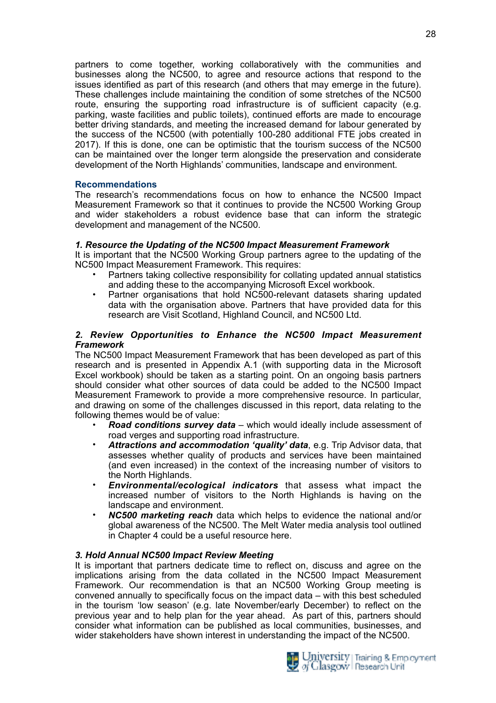partners to come together, working collaboratively with the communities and businesses along the NC500, to agree and resource actions that respond to the issues identified as part of this research (and others that may emerge in the future). These challenges include maintaining the condition of some stretches of the NC500 route, ensuring the supporting road infrastructure is of sufficient capacity (e.g. parking, waste facilities and public toilets), continued efforts are made to encourage better driving standards, and meeting the increased demand for labour generated by the success of the NC500 (with potentially 100-280 additional FTE jobs created in 2017). If this is done, one can be optimistic that the tourism success of the NC500 can be maintained over the longer term alongside the preservation and considerate development of the North Highlands' communities, landscape and environment.

## **Recommendations**

The research's recommendations focus on how to enhance the NC500 Impact Measurement Framework so that it continues to provide the NC500 Working Group and wider stakeholders a robust evidence base that can inform the strategic development and management of the NC500.

## *1. Resource the Updating of the NC500 Impact Measurement Framework*

It is important that the NC500 Working Group partners agree to the updating of the NC500 Impact Measurement Framework. This requires:

- Partners taking collective responsibility for collating updated annual statistics and adding these to the accompanying Microsoft Excel workbook.
- Partner organisations that hold NC500-relevant datasets sharing updated data with the organisation above. Partners that have provided data for this research are Visit Scotland, Highland Council, and NC500 Ltd.

#### *2. Review Opportunities to Enhance the NC500 Impact Measurement Framework*

The NC500 Impact Measurement Framework that has been developed as part of this research and is presented in Appendix A.1 (with supporting data in the Microsoft Excel workbook) should be taken as a starting point. On an ongoing basis partners should consider what other sources of data could be added to the NC500 Impact Measurement Framework to provide a more comprehensive resource. In particular, and drawing on some of the challenges discussed in this report, data relating to the following themes would be of value:

- *Road conditions survey data* which would ideally include assessment of road verges and supporting road infrastructure.
- *Attractions and accommodation 'quality' data*, e.g. Trip Advisor data, that assesses whether quality of products and services have been maintained (and even increased) in the context of the increasing number of visitors to the North Highlands.
- *Environmental/ecological indicators* that assess what impact the increased number of visitors to the North Highlands is having on the landscape and environment.
- *NC500 marketing reach* data which helps to evidence the national and/or global awareness of the NC500. The Melt Water media analysis tool outlined in Chapter 4 could be a useful resource here.

## *3. Hold Annual NC500 Impact Review Meeting*

It is important that partners dedicate time to reflect on, discuss and agree on the implications arising from the data collated in the NC500 Impact Measurement Framework. Our recommendation is that an NC500 Working Group meeting is convened annually to specifically focus on the impact data – with this best scheduled in the tourism 'low season' (e.g. late November/early December) to reflect on the previous year and to help plan for the year ahead. As part of this, partners should consider what information can be published as local communities, businesses, and wider stakeholders have shown interest in understanding the impact of the NC500.



University | Training & Employment of Clasgovy Research Unit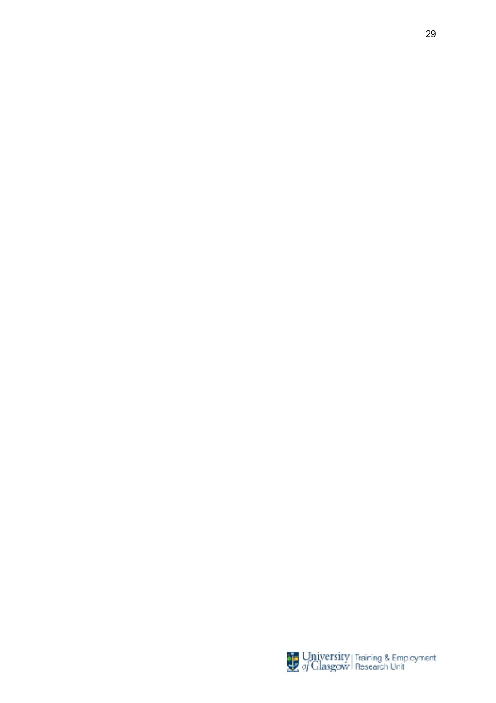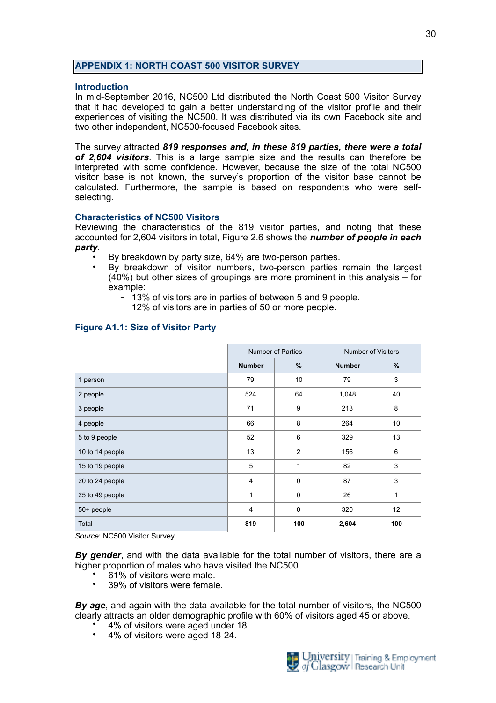### **APPENDIX 1: NORTH COAST 500 VISITOR SURVEY**

#### **Introduction**

In mid-September 2016, NC500 Ltd distributed the North Coast 500 Visitor Survey that it had developed to gain a better understanding of the visitor profile and their experiences of visiting the NC500. It was distributed via its own Facebook site and two other independent, NC500-focused Facebook sites.

The survey attracted *819 responses and, in these 819 parties, there were a total of 2,604 visitors*. This is a large sample size and the results can therefore be interpreted with some confidence. However, because the size of the total NC500 visitor base is not known, the survey's proportion of the visitor base cannot be calculated. Furthermore, the sample is based on respondents who were selfselecting.

#### **Characteristics of NC500 Visitors**

Reviewing the characteristics of the 819 visitor parties, and noting that these accounted for 2,604 visitors in total, Figure 2.6 shows the *number of people in each party*.

- By breakdown by party size, 64% are two-person parties.
- By breakdown of visitor numbers, two-person parties remain the largest (40%) but other sizes of groupings are more prominent in this analysis – for example:
	- 13% of visitors are in parties of between 5 and 9 people.
	- 12% of visitors are in parties of 50 or more people.

|                 |                | <b>Number of Parties</b> |               | Number of Visitors |
|-----------------|----------------|--------------------------|---------------|--------------------|
|                 | <b>Number</b>  | %                        | <b>Number</b> | %                  |
| 1 person        | 79             | 10                       | 79            | $\mathsf 3$        |
| 2 people        | 524            | 64                       | 1,048         | 40                 |
| 3 people        | 71             | 9                        | 213           | 8                  |
| 4 people        | 66             | 8                        | 264           | 10                 |
| 5 to 9 people   | 52             | 6                        | 329           | 13                 |
| 10 to 14 people | 13             | $\overline{2}$           | 156           | 6                  |
| 15 to 19 people | $\overline{5}$ | 1                        | 82            | 3                  |
| 20 to 24 people | $\overline{4}$ | $\pmb{0}$                | 87            | 3                  |
| 25 to 49 people | 1              | $\pmb{0}$                | 26            | 1                  |
| 50+ people      | $\overline{4}$ | 0                        | 320           | 12 <sup>°</sup>    |
| Total           | 819            | 100                      | 2,604         | 100                |

#### **Figure A1.1: Size of Visitor Party**

*Source*: NC500 Visitor Survey

*By gender*, and with the data available for the total number of visitors, there are a higher proportion of males who have visited the NC500.

- 61% of visitors were male.
- 39% of visitors were female.

*By age*, and again with the data available for the total number of visitors, the NC500 clearly attracts an older demographic profile with 60% of visitors aged 45 or above.

- 4% of visitors were aged under 18.
- 4% of visitors were aged 18-24.

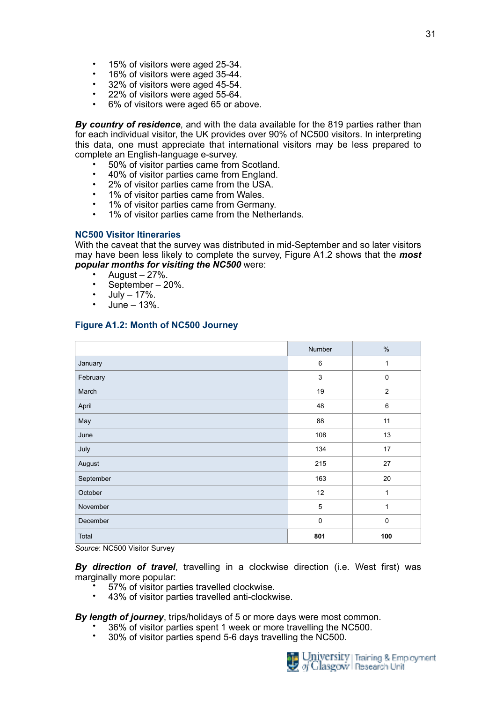- 15% of visitors were aged 25-34.
- 16% of visitors were aged 35-44.
- 32% of visitors were aged 45-54.
- 22% of visitors were aged 55-64.
- 6% of visitors were aged 65 or above.

*By country of residence*, and with the data available for the 819 parties rather than for each individual visitor, the UK provides over 90% of NC500 visitors. In interpreting this data, one must appreciate that international visitors may be less prepared to complete an English-language e-survey.

- 50% of visitor parties came from Scotland.
- 40% of visitor parties came from England.
- 2% of visitor parties came from the USA.
- 1% of visitor parties came from Wales.
- 1% of visitor parties came from Germany.
- 1% of visitor parties came from the Netherlands.

### **NC500 Visitor Itineraries**

With the caveat that the survey was distributed in mid-September and so later visitors may have been less likely to complete the survey, Figure A1.2 shows that the *most popular months for visiting the NC500* were:

- August  $27\%$ .
- September 20%.
- $July 17%$ .
- June 13%.

## **Figure A1.2: Month of NC500 Journey**

|           | Number    | $\%$           |
|-----------|-----------|----------------|
| January   | 6         | $\mathbf{1}$   |
| February  | 3         | $\mathbf 0$    |
| March     | 19        | $\overline{2}$ |
| April     | 48        | 6              |
| May       | 88        | 11             |
| June      | 108       | 13             |
| July      | 134       | 17             |
| August    | 215       | 27             |
| September | 163       | 20             |
| October   | 12        | 1              |
| November  | 5         | 1              |
| December  | $\pmb{0}$ | $\mathbf 0$    |
| Total     | 801       | 100            |

*Source*: NC500 Visitor Survey

*By direction of travel*, travelling in a clockwise direction (i.e. West first) was marginally more popular:

- 57% of visitor parties travelled clockwise.
- 43% of visitor parties travelled anti-clockwise.

*By length of journey*, trips/holidays of 5 or more days were most common.

- 36% of visitor parties spent 1 week or more travelling the NC500.
- 30% of visitor parties spend 5-6 days travelling the NC500.

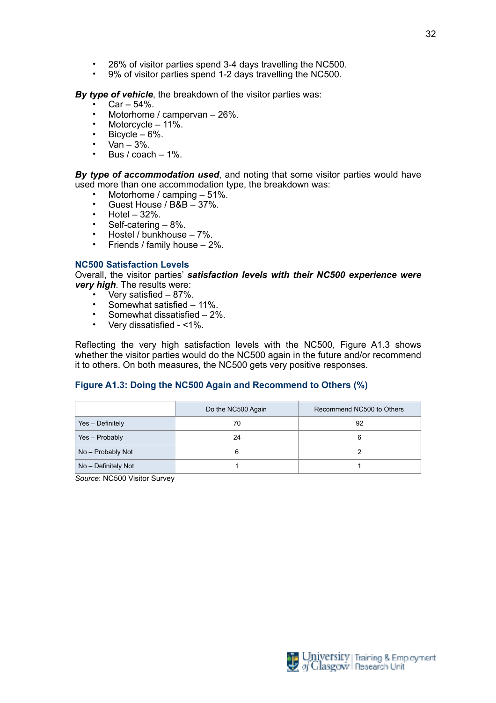- 26% of visitor parties spend 3-4 days travelling the NC500.
- 9% of visitor parties spend 1-2 days travelling the NC500.

**By type of vehicle**, the breakdown of the visitor parties was:

- $Car 54%$ .
- Motorhome / campervan 26%.
- Motorcycle 11%.
- Bicycle  $-6%$ .
- $Van 3\%$ .
- Bus / coach  $-1\%$ .

*By type of accommodation used*, and noting that some visitor parties would have used more than one accommodation type, the breakdown was:

- Motorhome / camping  $-51\%$ .
- Guest House / B&B 37%.
- $\cdot$  Hotel 32%.
- Self-catering 8%.
- Hostel / bunkhouse 7%.
- Friends / family house  $-2\%$ .

#### **NC500 Satisfaction Levels**

Overall, the visitor parties' *satisfaction levels with their NC500 experience were very high*. The results were:

- Very satisfied 87%.
- Somewhat satisfied 11%.
- Somewhat dissatisfied  $-2\%$ .
- Very dissatisfied <1%.

Reflecting the very high satisfaction levels with the NC500, Figure A1.3 shows whether the visitor parties would do the NC500 again in the future and/or recommend it to others. On both measures, the NC500 gets very positive responses.

## **Figure A1.3: Doing the NC500 Again and Recommend to Others (%)**

|                     | Do the NC500 Again | Recommend NC500 to Others |
|---------------------|--------------------|---------------------------|
| Yes - Definitely    | 70                 | 92                        |
| Yes - Probably      | 24                 | 6                         |
| No - Probably Not   | 6                  |                           |
| No - Definitely Not |                    |                           |

*Source*: NC500 Visitor Survey

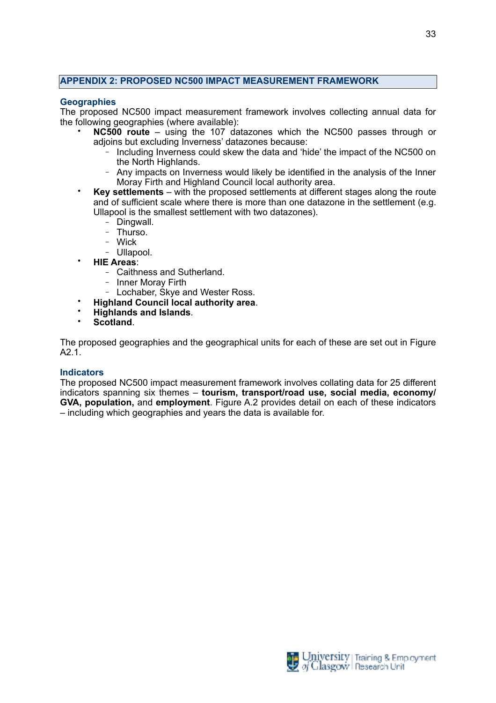## **APPENDIX 2: PROPOSED NC500 IMPACT MEASUREMENT FRAMEWORK**

## **Geographies**

The proposed NC500 impact measurement framework involves collecting annual data for the following geographies (where available):

- **NC500 route** using the 107 datazones which the NC500 passes through or adjoins but excluding Inverness' datazones because:
	- Including Inverness could skew the data and 'hide' the impact of the NC500 on the North Highlands.
	- Any impacts on Inverness would likely be identified in the analysis of the Inner Moray Firth and Highland Council local authority area.
- **Key settlements**  with the proposed settlements at different stages along the route and of sufficient scale where there is more than one datazone in the settlement (e.g. Ullapool is the smallest settlement with two datazones).
	- Dingwall.
	- Thurso.
	- Wick
	- Ullapool.
- **HIE Areas**:
	- Caithness and Sutherland.
	- Inner Moray Firth
	- Lochaber, Skye and Wester Ross.
- **Highland Council local authority area**.
- **Highlands and Islands**.
- **Scotland**.

The proposed geographies and the geographical units for each of these are set out in Figure A2.1.

#### **Indicators**

The proposed NC500 impact measurement framework involves collating data for 25 different indicators spanning six themes – **tourism, transport/road use, social media, economy/ GVA, population,** and **employment**. Figure A.2 provides detail on each of these indicators – including which geographies and years the data is available for.

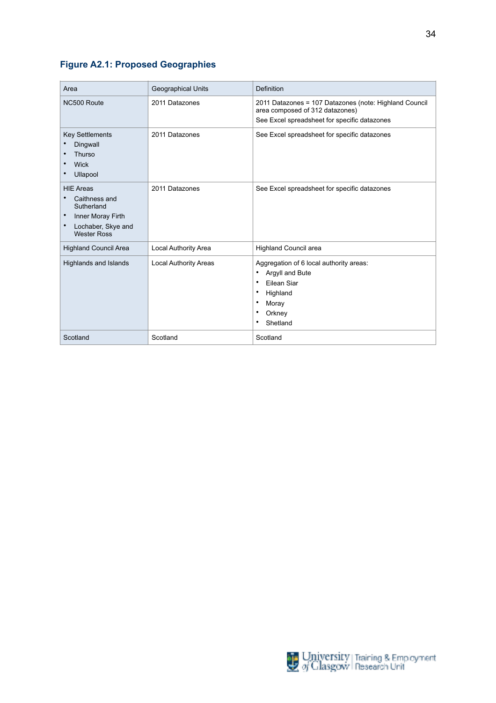## **Figure A2.1: Proposed Geographies**

| Area                                                                                                                          | <b>Geographical Units</b>    | <b>Definition</b>                                                                                                                         |
|-------------------------------------------------------------------------------------------------------------------------------|------------------------------|-------------------------------------------------------------------------------------------------------------------------------------------|
| NC500 Route                                                                                                                   | 2011 Datazones               | 2011 Datazones = 107 Datazones (note: Highland Council<br>area composed of 312 datazones)<br>See Excel spreadsheet for specific datazones |
| <b>Key Settlements</b><br>Dingwall<br>Thurso<br><b>Wick</b><br>Ullapool                                                       | 2011 Datazones               | See Excel spreadsheet for specific datazones                                                                                              |
| <b>HIE Areas</b><br>Caithness and<br>Sutherland<br>Inner Moray Firth<br>$\bullet$<br>Lochaber, Skye and<br><b>Wester Ross</b> | 2011 Datazones               | See Excel spreadsheet for specific datazones                                                                                              |
| <b>Highland Council Area</b>                                                                                                  | Local Authority Area         | <b>Highland Council area</b>                                                                                                              |
| Highlands and Islands                                                                                                         | <b>Local Authority Areas</b> | Aggregation of 6 local authority areas:<br>Argyll and Bute<br>٠<br>Eilean Siar<br>٠<br>Highland<br>٠<br>Moray<br>Orkney<br>Shetland<br>٠  |
| Scotland                                                                                                                      | Scotland                     | Scotland                                                                                                                                  |

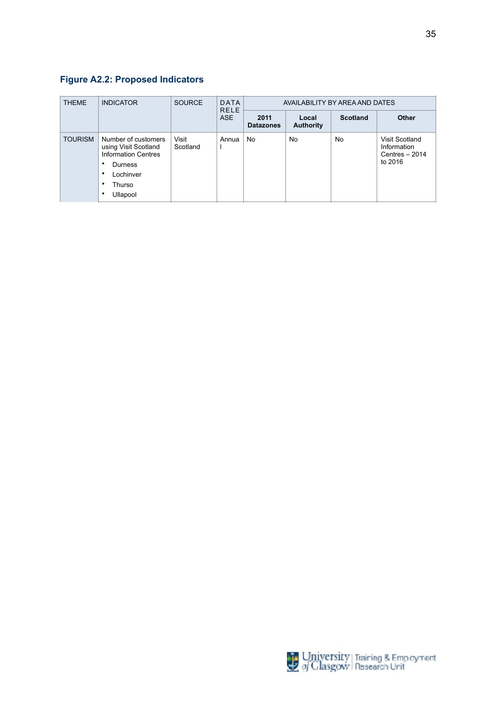# **Figure A2.2: Proposed Indicators**

| <b>THEME</b>   | <b>INDICATOR</b>                                                                                                        | <b>SOURCE</b>     | <b>DATA</b><br><b>RELE</b><br><b>ASE</b> |                          | AVAILABILITY BY AREA AND DATES |                 |                                                             |  |
|----------------|-------------------------------------------------------------------------------------------------------------------------|-------------------|------------------------------------------|--------------------------|--------------------------------|-----------------|-------------------------------------------------------------|--|
|                |                                                                                                                         |                   |                                          | 2011<br><b>Datazones</b> | Local<br><b>Authority</b>      | <b>Scotland</b> | Other                                                       |  |
| <b>TOURISM</b> | Number of customers<br>using Visit Scotland<br><b>Information Centres</b><br>Durness<br>Lochinver<br>Thurso<br>Ullapool | Visit<br>Scotland | Annua                                    | No                       | No                             | No              | Visit Scotland<br>Information<br>Centres $-2014$<br>to 2016 |  |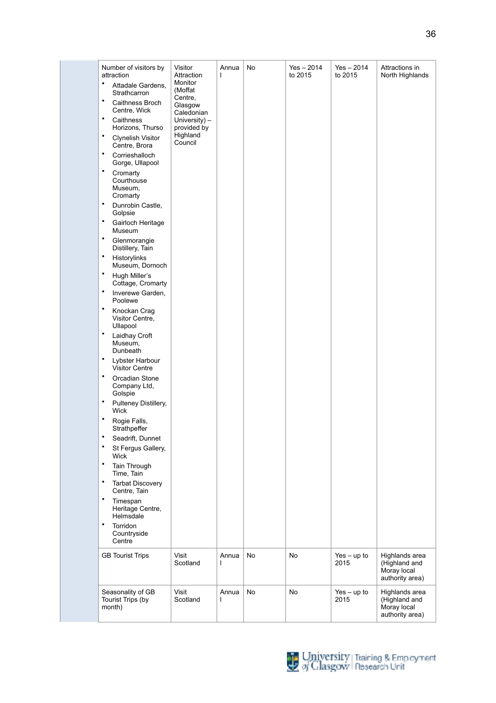| Number of visitors by<br>attraction<br>$\bullet$<br>Attadale Gardens,<br>Strathcarron<br>$\bullet$<br>Caithness Broch<br>Centre, Wick<br>$\bullet$<br>Caithness<br>Horizons, Thurso<br>٠<br><b>Clynelish Visitor</b><br>Centre, Brora<br>$\bullet$<br>Corrieshalloch<br>Gorge, Ullapool<br>$\bullet$<br>Cromarty<br>Courthouse<br>Museum,<br>Cromarty<br>$\bullet$<br>Dunrobin Castle,<br>Golpsie<br>$\bullet$<br>Gairloch Heritage<br>Museum<br>$\bullet$<br>Glenmorangie<br>Distillery, Tain<br>$\bullet$<br>Historylinks<br>Museum, Dornoch<br>$\bullet$<br>Hugh Miller's<br>Cottage, Cromarty<br>$\bullet$<br>Inverewe Garden,<br>Poolewe<br>$\bullet$<br>Knockan Crag<br>Visitor Centre,<br>Ullapool<br>$\bullet$<br>Laidhay Croft<br>Museum,<br>Dunbeath<br>$\bullet$<br>Lybster Harbour<br><b>Visitor Centre</b><br>$\bullet$<br>Orcadian Stone<br>Company Ltd,<br>Golspie<br>$\bullet$<br>Pulteney Distillery,<br>Wick<br>Rogie Falls,<br>Strathpeffer<br>Seadrift, Dunnet<br>$\bullet$<br>St Fergus Gallery,<br>Wick<br>$\bullet$<br>Tain Through<br>Time, Tain<br>$\bullet$<br><b>Tarbat Discovery</b><br>Centre, Tain<br>$\bullet$<br>Timespan<br>Heritage Centre,<br>Helmsdale<br>$\bullet$<br>Torridon<br>Countryside<br>Centre<br><b>GB Tourist Trips</b> | Visitor<br>Attraction<br>Monitor<br>(Moffat<br>Centre,<br>Glasgow<br>Caledonian<br>University) $-$<br>provided by<br>Highland<br>Council<br>Visit | Annua<br>ı<br>Annua | No<br>No | $Yes - 2014$<br>to 2015<br>No | $Yes - 2014$<br>to 2015<br>Yes $-$ up to | Attractions in<br>North Highlands<br>Highlands area               |
|-------------------------------------------------------------------------------------------------------------------------------------------------------------------------------------------------------------------------------------------------------------------------------------------------------------------------------------------------------------------------------------------------------------------------------------------------------------------------------------------------------------------------------------------------------------------------------------------------------------------------------------------------------------------------------------------------------------------------------------------------------------------------------------------------------------------------------------------------------------------------------------------------------------------------------------------------------------------------------------------------------------------------------------------------------------------------------------------------------------------------------------------------------------------------------------------------------------------------------------------------------------------------|---------------------------------------------------------------------------------------------------------------------------------------------------|---------------------|----------|-------------------------------|------------------------------------------|-------------------------------------------------------------------|
|                                                                                                                                                                                                                                                                                                                                                                                                                                                                                                                                                                                                                                                                                                                                                                                                                                                                                                                                                                                                                                                                                                                                                                                                                                                                         | Scotland                                                                                                                                          |                     |          |                               | 2015                                     | (Highland and<br>Moray local<br>authority area)                   |
| Seasonality of GB<br>Tourist Trips (by<br>month)                                                                                                                                                                                                                                                                                                                                                                                                                                                                                                                                                                                                                                                                                                                                                                                                                                                                                                                                                                                                                                                                                                                                                                                                                        | Visit<br>Scotland                                                                                                                                 | Annua               | No       | No                            | $Yes - up to$<br>2015                    | Highlands area<br>(Highland and<br>Moray local<br>authority area) |

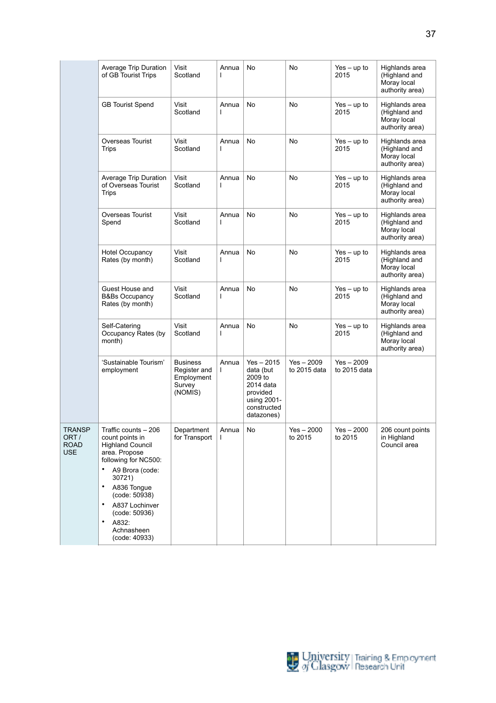| Average Trip Duration<br>of GB Tourist Trips                                                                                                                                                                                                                              | Visit<br>Scotland                                                  | Annua<br>I            | No                                                                                                        | No                           | $Yes - up to$<br>2015        | Highlands area<br>(Highland and<br>Moray local<br>authority area) |
|---------------------------------------------------------------------------------------------------------------------------------------------------------------------------------------------------------------------------------------------------------------------------|--------------------------------------------------------------------|-----------------------|-----------------------------------------------------------------------------------------------------------|------------------------------|------------------------------|-------------------------------------------------------------------|
| <b>GB Tourist Spend</b>                                                                                                                                                                                                                                                   | Visit<br>Scotland                                                  | Annua                 | No                                                                                                        | No                           | $Yes - up to$<br>2015        | Highlands area<br>(Highland and<br>Moray local<br>authority area) |
| Overseas Tourist<br>Trips                                                                                                                                                                                                                                                 | Visit<br>Scotland                                                  | Annua<br>I            | No                                                                                                        | No                           | $Yes - up to$<br>2015        | Highlands area<br>(Highland and<br>Moray local<br>authority area) |
| Average Trip Duration<br>of Overseas Tourist<br>Trips                                                                                                                                                                                                                     | Visit<br>Scotland                                                  | Annua<br>I            | No                                                                                                        | No                           | $Yes - up to$<br>2015        | Highlands area<br>(Highland and<br>Moray local<br>authority area) |
| Overseas Tourist<br>Spend                                                                                                                                                                                                                                                 | Visit<br>Scotland                                                  | Annua                 | No                                                                                                        | No                           | $Yes - up to$<br>2015        | Highlands area<br>(Highland and<br>Moray local<br>authority area) |
| <b>Hotel Occupancy</b><br>Rates (by month)                                                                                                                                                                                                                                | Visit<br>Scotland                                                  | Annua<br>I            | No                                                                                                        | No                           | $Yes - up to$<br>2015        | Highlands area<br>(Highland and<br>Moray local<br>authority area) |
| Guest House and<br><b>B&amp;Bs Occupancy</b><br>Rates (by month)                                                                                                                                                                                                          | Visit<br>Scotland                                                  | Annua<br>ı            | No                                                                                                        | No                           | $Yes - up to$<br>2015        | Highlands area<br>(Highland and<br>Moray local<br>authority area) |
| Self-Catering<br>Occupancy Rates (by<br>month)                                                                                                                                                                                                                            | Visit<br>Scotland                                                  | Annua                 | No                                                                                                        | No                           | $Yes - up to$<br>2015        | Highlands area<br>(Highland and<br>Moray local<br>authority area) |
| 'Sustainable Tourism'<br>employment                                                                                                                                                                                                                                       | <b>Business</b><br>Register and<br>Employment<br>Survey<br>(NOMIS) | Annua<br>I            | $Yes - 2015$<br>data (but<br>2009 to<br>2014 data<br>provided<br>using 2001-<br>constructed<br>datazones) | $Yes - 2009$<br>to 2015 data | $Yes - 2009$<br>to 2015 data |                                                                   |
| Traffic counts - 206<br>count points in<br><b>Highland Council</b><br>area. Propose<br>following for NC500:<br>A9 Brora (code:<br>30721)<br>$\bullet$<br>A836 Tongue<br>(code: 50938)<br>$\bullet$<br>A837 Lochinver<br>(code: 50936)<br>$\bullet$<br>A832:<br>Achnasheen | Department<br>for Transport                                        | Annua<br>$\mathbf{I}$ | No                                                                                                        | $Yes - 2000$<br>to 2015      | $Yes - 2000$<br>to 2015      | 206 count points<br>in Highland<br>Council area                   |
|                                                                                                                                                                                                                                                                           | (code: 40933)                                                      |                       |                                                                                                           |                              |                              |                                                                   |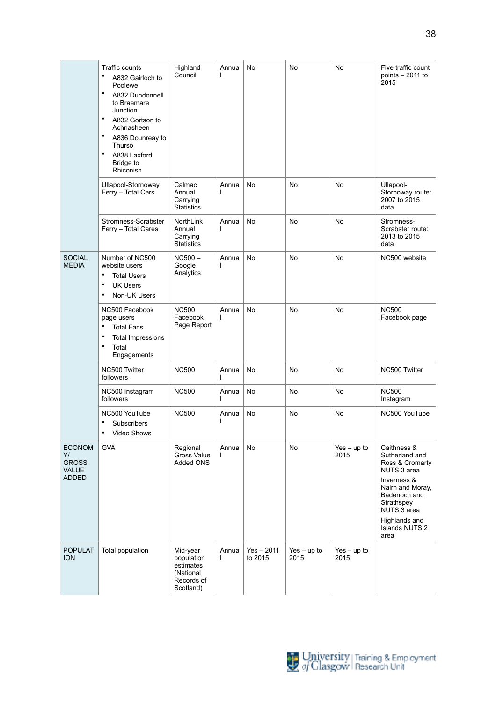|                                                                     | <b>Traffic counts</b><br>٠<br>A832 Gairloch to<br>Poolewe<br>٠<br>A832 Dundonnell<br>to Braemare<br>Junction<br>٠<br>A832 Gortson to<br>Achnasheen<br>$\bullet$<br>A836 Dounreay to<br>Thurso<br>٠<br>A838 Laxford<br>Bridge to<br>Rhiconish | Highland<br>Council                                                         | Annua<br>L | No                      | No                    | No                    | Five traffic count<br>points $-2011$ to<br>2015                                                                                                                                            |
|---------------------------------------------------------------------|----------------------------------------------------------------------------------------------------------------------------------------------------------------------------------------------------------------------------------------------|-----------------------------------------------------------------------------|------------|-------------------------|-----------------------|-----------------------|--------------------------------------------------------------------------------------------------------------------------------------------------------------------------------------------|
|                                                                     | Ullapool-Stornoway<br>Ferry - Total Cars                                                                                                                                                                                                     | Calmac<br>Annual<br>Carrying<br><b>Statistics</b>                           | Annua<br>L | <b>No</b>               | No                    | No                    | Ullapool-<br>Stornoway route:<br>2007 to 2015<br>data                                                                                                                                      |
|                                                                     | Stromness-Scrabster<br>Ferry - Total Cares                                                                                                                                                                                                   | NorthLink<br>Annual<br>Carrying<br><b>Statistics</b>                        | Annua<br>T | No                      | No                    | No                    | Stromness-<br>Scrabster route:<br>2013 to 2015<br>data                                                                                                                                     |
| <b>SOCIAL</b><br><b>MEDIA</b>                                       | Number of NC500<br>website users<br>$\bullet$<br><b>Total Users</b><br><b>UK Users</b><br>$\bullet$<br>Non-UK Users<br>$\bullet$                                                                                                             | $NC500 -$<br>Google<br>Analytics                                            | Annua<br>L | No                      | No                    | No                    | NC500 website                                                                                                                                                                              |
|                                                                     | NC500 Facebook<br>page users<br>٠<br><b>Total Fans</b><br>$\bullet$<br><b>Total Impressions</b><br>٠<br>Total<br>Engagements                                                                                                                 | <b>NC500</b><br>Facebook<br>Page Report                                     | Annua      | <b>No</b>               | No                    | No                    | <b>NC500</b><br>Facebook page                                                                                                                                                              |
|                                                                     | NC500 Twitter<br>followers                                                                                                                                                                                                                   | <b>NC500</b>                                                                | Annua      | <b>No</b>               | No                    | No                    | NC500 Twitter                                                                                                                                                                              |
|                                                                     | NC500 Instagram<br>followers                                                                                                                                                                                                                 | <b>NC500</b>                                                                | Annua<br>T | No                      | No                    | No                    | <b>NC500</b><br>Instagram                                                                                                                                                                  |
|                                                                     | NC500 YouTube<br>$\bullet$<br>Subscribers<br>Video Shows<br>٠                                                                                                                                                                                | <b>NC500</b>                                                                | Annua<br>I | No                      | No                    | No                    | NC500 YouTube                                                                                                                                                                              |
| <b>ECONOM</b><br>Y/<br><b>GROSS</b><br><b>VALUE</b><br><b>ADDED</b> | <b>GVA</b>                                                                                                                                                                                                                                   | Regional<br><b>Gross Value</b><br>Added ONS                                 | Annua<br>L | <b>No</b>               | No                    | $Yes - up to$<br>2015 | Caithness &<br>Sutherland and<br>Ross & Cromarty<br>NUTS 3 area<br>Inverness &<br>Nairn and Moray,<br>Badenoch and<br>Strathspey<br>NUTS 3 area<br>Highlands and<br>Islands NUTS 2<br>area |
| <b>POPULAT</b><br><b>ION</b>                                        | Total population                                                                                                                                                                                                                             | Mid-year<br>population<br>estimates<br>(National<br>Records of<br>Scotland) | Annua<br>L | $Yes - 2011$<br>to 2015 | $Yes - up to$<br>2015 | $Yes - up to$<br>2015 |                                                                                                                                                                                            |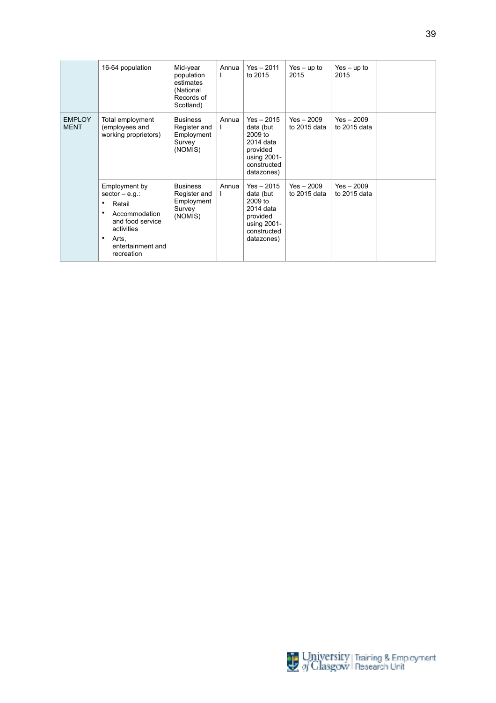|                              | 16-64 population                                                                                                                                                                   | Mid-year<br>population<br>estimates<br>(National<br>Records of<br>Scotland) | Annua<br>T | $Yes - 2011$<br>to 2015                                                                                   | $Yes - up to$<br>2015        | $Yes - up to$<br>2015        |  |
|------------------------------|------------------------------------------------------------------------------------------------------------------------------------------------------------------------------------|-----------------------------------------------------------------------------|------------|-----------------------------------------------------------------------------------------------------------|------------------------------|------------------------------|--|
| <b>EMPLOY</b><br><b>MENT</b> | Total employment<br>(employees and<br>working proprietors)                                                                                                                         | <b>Business</b><br>Register and<br>Employment<br>Survey<br>(NOMIS)          | Annua      | $Yes - 2015$<br>data (but<br>2009 to<br>2014 data<br>provided<br>using 2001-<br>constructed<br>datazones) | $Yes - 2009$<br>to 2015 data | $Yes - 2009$<br>to 2015 data |  |
|                              | Employment by<br>$sector - e.g.$ :<br>$\bullet$<br>Retail<br>$\bullet$<br>Accommodation<br>and food service<br>activities<br>$\bullet$<br>Arts,<br>entertainment and<br>recreation | <b>Business</b><br>Register and<br>Employment<br>Survey<br>(NOMIS)          | Annua<br>L | $Yes - 2015$<br>data (but<br>2009 to<br>2014 data<br>provided<br>using 2001-<br>constructed<br>datazones) | $Yes - 2009$<br>to 2015 data | $Yes - 2009$<br>to 2015 data |  |

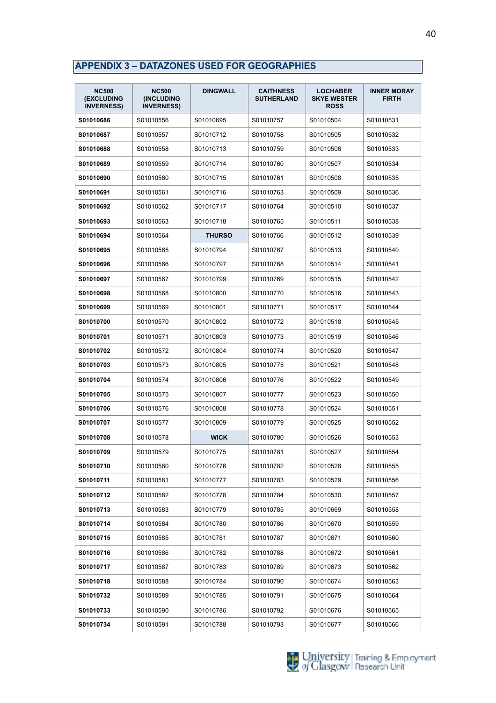## **APPENDIX 3 – DATAZONES USED FOR GEOGRAPHIES**

| <b>NC500</b><br><b>(EXCLUDING</b><br><b>INVERNESS)</b> | <b>NC500</b><br><b>(INCLUDING)</b><br><b>INVERNESS)</b> | <b>DINGWALL</b> | <b>CAITHNESS</b><br><b>SUTHERLAND</b> | <b>LOCHABER</b><br><b>SKYE WESTER</b><br><b>ROSS</b> | <b>INNER MORAY</b><br><b>FIRTH</b> |
|--------------------------------------------------------|---------------------------------------------------------|-----------------|---------------------------------------|------------------------------------------------------|------------------------------------|
| S01010686                                              | S01010556                                               | S01010695       | S01010757                             | S01010504                                            | S01010531                          |
| S01010687                                              | S01010557                                               | S01010712       | S01010758                             | S01010505                                            | S01010532                          |
| S01010688                                              | S01010558                                               | S01010713       | S01010759                             | S01010506                                            | S01010533                          |
| S01010689                                              | S01010559                                               | S01010714       | S01010760                             | S01010507                                            | S01010534                          |
| S01010690                                              | S01010560                                               | S01010715       | S01010761                             | S01010508                                            | S01010535                          |
| S01010691                                              | S01010561                                               | S01010716       | S01010763                             | S01010509                                            | S01010536                          |
| S01010692                                              | S01010562                                               | S01010717       | S01010764                             | S01010510                                            | S01010537                          |
| S01010693                                              | S01010563                                               | S01010718       | S01010765                             | S01010511                                            | S01010538                          |
| S01010694                                              | S01010564                                               | <b>THURSO</b>   | S01010766                             | S01010512                                            | S01010539                          |
| S01010695                                              | S01010565                                               | S01010794       | S01010767                             | S01010513                                            | S01010540                          |
| S01010696                                              | S01010566                                               | S01010797       | S01010768                             | S01010514                                            | S01010541                          |
| S01010697                                              | S01010567                                               | S01010799       | S01010769                             | S01010515                                            | S01010542                          |
| S01010698                                              | S01010568                                               | S01010800       | S01010770                             | S01010516                                            | S01010543                          |
| S01010699                                              | S01010569                                               | S01010801       | S01010771                             | S01010517                                            | S01010544                          |
| S01010700                                              | S01010570                                               | S01010802       | S01010772                             | S01010518                                            | S01010545                          |
| S01010701                                              | S01010571                                               | S01010803       | S01010773                             | S01010519                                            | S01010546                          |
| S01010702                                              | S01010572                                               | S01010804       | S01010774                             | S01010520                                            | S01010547                          |
| S01010703                                              | S01010573                                               | S01010805       | S01010775                             | S01010521                                            | S01010548                          |
| S01010704                                              | S01010574                                               | S01010806       | S01010776                             | S01010522                                            | S01010549                          |
| S01010705                                              | S01010575                                               | S01010807       | S01010777                             | S01010523                                            | S01010550                          |
| S01010706                                              | S01010576                                               | S01010808       | S01010778                             | S01010524                                            | S01010551                          |
| S01010707                                              | S01010577                                               | S01010809       | S01010779                             | S01010525                                            | S01010552                          |
| S01010708                                              | S01010578                                               | <b>WICK</b>     | S01010780                             | S01010526                                            | S01010553                          |
| S01010709                                              | S01010579                                               | S01010775       | S01010781                             | S01010527                                            | S01010554                          |
| S01010710                                              | S01010580                                               | S01010776       | S01010782                             | S01010528                                            | S01010555                          |
| S01010711                                              | S01010581                                               | S01010777       | S01010783                             | S01010529                                            | S01010556                          |
| S01010712                                              | S01010582                                               | S01010778       | S01010784                             | S01010530                                            | S01010557                          |
| S01010713                                              | S01010583                                               | S01010779       | S01010785                             | S01010669                                            | S01010558                          |
| S01010714                                              | S01010584                                               | S01010780       | S01010786                             | S01010670                                            | S01010559                          |
| S01010715                                              | S01010585                                               | S01010781       | S01010787                             | S01010671                                            | S01010560                          |
| S01010716                                              | S01010586                                               | S01010782       | S01010788                             | S01010672                                            | S01010561                          |
| S01010717                                              | S01010587                                               | S01010783       | S01010789                             | S01010673                                            | S01010562                          |
| S01010718                                              | S01010588                                               | S01010784       | S01010790                             | S01010674                                            | S01010563                          |
| S01010732                                              | S01010589                                               | S01010785       | S01010791                             | S01010675                                            | S01010564                          |
| S01010733                                              | S01010590                                               | S01010786       | S01010792                             | S01010676                                            | S01010565                          |
| S01010734                                              | S01010591                                               | S01010788       | S01010793                             | S01010677                                            | S01010566                          |

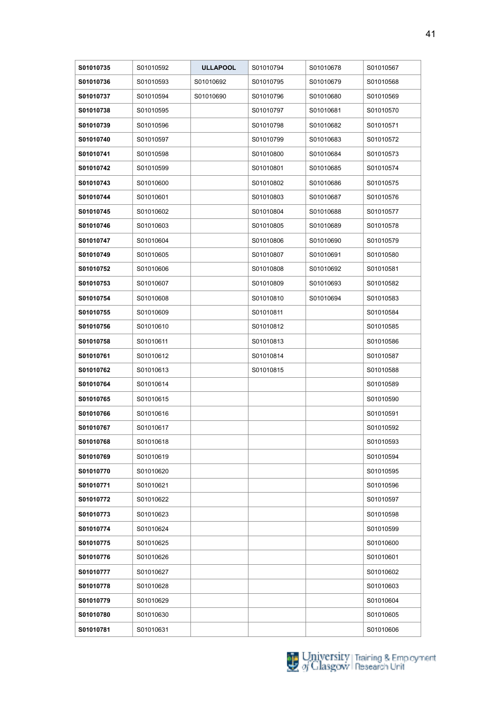| S01010735 | S01010592 | <b>ULLAPOOL</b> | S01010794 | S01010678 | S01010567 |
|-----------|-----------|-----------------|-----------|-----------|-----------|
| S01010736 | S01010593 | S01010692       | S01010795 | S01010679 | S01010568 |
| S01010737 | S01010594 | S01010690       | S01010796 | S01010680 | S01010569 |
| S01010738 | S01010595 |                 | S01010797 | S01010681 | S01010570 |
| S01010739 | S01010596 |                 | S01010798 | S01010682 | S01010571 |
| S01010740 | S01010597 |                 | S01010799 | S01010683 | S01010572 |
| S01010741 | S01010598 |                 | S01010800 | S01010684 | S01010573 |
| S01010742 | S01010599 |                 | S01010801 | S01010685 | S01010574 |
| S01010743 | S01010600 |                 | S01010802 | S01010686 | S01010575 |
| S01010744 | S01010601 |                 | S01010803 | S01010687 | S01010576 |
| S01010745 | S01010602 |                 | S01010804 | S01010688 | S01010577 |
| S01010746 | S01010603 |                 | S01010805 | S01010689 | S01010578 |
| S01010747 | S01010604 |                 | S01010806 | S01010690 | S01010579 |
| S01010749 | S01010605 |                 | S01010807 | S01010691 | S01010580 |
| S01010752 | S01010606 |                 | S01010808 | S01010692 | S01010581 |
| S01010753 | S01010607 |                 | S01010809 | S01010693 | S01010582 |
| S01010754 | S01010608 |                 | S01010810 | S01010694 | S01010583 |
| S01010755 | S01010609 |                 | S01010811 |           | S01010584 |
| S01010756 | S01010610 |                 | S01010812 |           | S01010585 |
| S01010758 | S01010611 |                 | S01010813 |           | S01010586 |
| S01010761 | S01010612 |                 | S01010814 |           | S01010587 |
| S01010762 | S01010613 |                 | S01010815 |           | S01010588 |
| S01010764 | S01010614 |                 |           |           | S01010589 |
| S01010765 | S01010615 |                 |           |           | S01010590 |
| S01010766 | S01010616 |                 |           |           | S01010591 |
| S01010767 | S01010617 |                 |           |           | S01010592 |
| S01010768 | S01010618 |                 |           |           | S01010593 |
| S01010769 | S01010619 |                 |           |           | S01010594 |
| S01010770 | S01010620 |                 |           |           | S01010595 |
| S01010771 | S01010621 |                 |           |           | S01010596 |
| S01010772 | S01010622 |                 |           |           | S01010597 |
| S01010773 | S01010623 |                 |           |           | S01010598 |
| S01010774 | S01010624 |                 |           |           | S01010599 |
| S01010775 | S01010625 |                 |           |           | S01010600 |
| S01010776 | S01010626 |                 |           |           | S01010601 |
| S01010777 | S01010627 |                 |           |           | S01010602 |
| S01010778 | S01010628 |                 |           |           | S01010603 |
| S01010779 | S01010629 |                 |           |           | S01010604 |
| S01010780 | S01010630 |                 |           |           | S01010605 |
| S01010781 | S01010631 |                 |           |           | S01010606 |

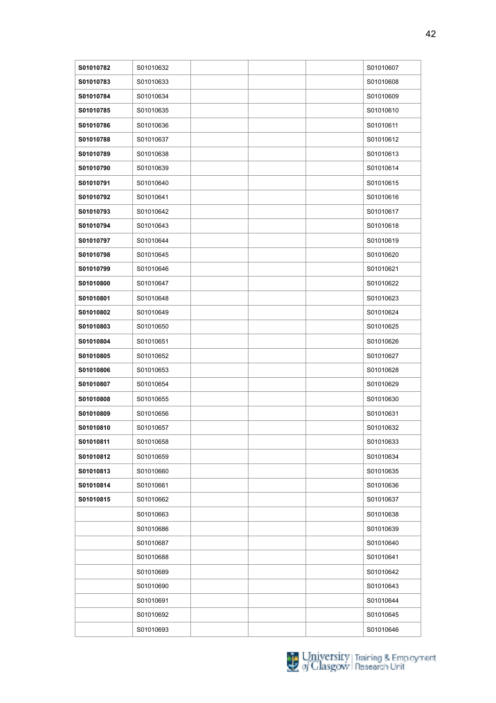| S01010782 | S01010632 |  | S01010607 |
|-----------|-----------|--|-----------|
| S01010783 | S01010633 |  | S01010608 |
| S01010784 | S01010634 |  | S01010609 |
| S01010785 | S01010635 |  | S01010610 |
| S01010786 | S01010636 |  | S01010611 |
| S01010788 | S01010637 |  | S01010612 |
| S01010789 | S01010638 |  | S01010613 |
| S01010790 | S01010639 |  | S01010614 |
| S01010791 | S01010640 |  | S01010615 |
| S01010792 | S01010641 |  | S01010616 |
| S01010793 | S01010642 |  | S01010617 |
| S01010794 | S01010643 |  | S01010618 |
| S01010797 | S01010644 |  | S01010619 |
| S01010798 | S01010645 |  | S01010620 |
| S01010799 | S01010646 |  | S01010621 |
| S01010800 | S01010647 |  | S01010622 |
| S01010801 | S01010648 |  | S01010623 |
| S01010802 | S01010649 |  | S01010624 |
| S01010803 | S01010650 |  | S01010625 |
| S01010804 | S01010651 |  | S01010626 |
| S01010805 | S01010652 |  | S01010627 |
| S01010806 | S01010653 |  | S01010628 |
| S01010807 | S01010654 |  | S01010629 |
| S01010808 | S01010655 |  | S01010630 |
| S01010809 | S01010656 |  | S01010631 |
| S01010810 | S01010657 |  | S01010632 |
| S01010811 | S01010658 |  | S01010633 |
| S01010812 | S01010659 |  | S01010634 |
| S01010813 | S01010660 |  | S01010635 |
| S01010814 | S01010661 |  | S01010636 |
| S01010815 | S01010662 |  | S01010637 |
|           | S01010663 |  | S01010638 |
|           | S01010686 |  | S01010639 |
|           | S01010687 |  | S01010640 |
|           | S01010688 |  | S01010641 |
|           | S01010689 |  | S01010642 |
|           | S01010690 |  | S01010643 |
|           | S01010691 |  | S01010644 |
|           | S01010692 |  | S01010645 |
|           | S01010693 |  | S01010646 |

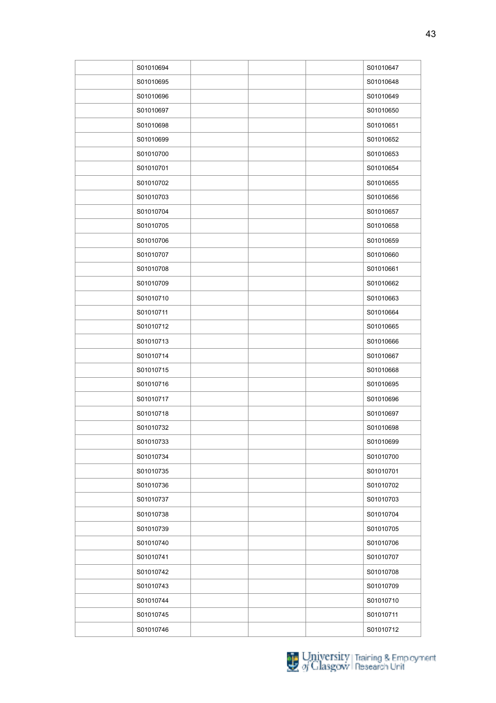| S01010694 |  | S01010647 |
|-----------|--|-----------|
| S01010695 |  | S01010648 |
| S01010696 |  | S01010649 |
| S01010697 |  | S01010650 |
| S01010698 |  | S01010651 |
| S01010699 |  | S01010652 |
| S01010700 |  | S01010653 |
| S01010701 |  | S01010654 |
| S01010702 |  | S01010655 |
| S01010703 |  | S01010656 |
| S01010704 |  | S01010657 |
| S01010705 |  | S01010658 |
| S01010706 |  | S01010659 |
| S01010707 |  | S01010660 |
| S01010708 |  | S01010661 |
| S01010709 |  | S01010662 |
| S01010710 |  | S01010663 |
| S01010711 |  | S01010664 |
| S01010712 |  | S01010665 |
| S01010713 |  | S01010666 |
| S01010714 |  | S01010667 |
| S01010715 |  | S01010668 |
| S01010716 |  | S01010695 |
| S01010717 |  | S01010696 |
| S01010718 |  | S01010697 |
| S01010732 |  | S01010698 |
| S01010733 |  | S01010699 |
| S01010734 |  | S01010700 |
| S01010735 |  | S01010701 |
| S01010736 |  | S01010702 |
| S01010737 |  | S01010703 |
| S01010738 |  | S01010704 |
| S01010739 |  | S01010705 |
| S01010740 |  | S01010706 |
| S01010741 |  | S01010707 |
| S01010742 |  | S01010708 |
| S01010743 |  | S01010709 |
| S01010744 |  | S01010710 |
| S01010745 |  | S01010711 |
| S01010746 |  | S01010712 |

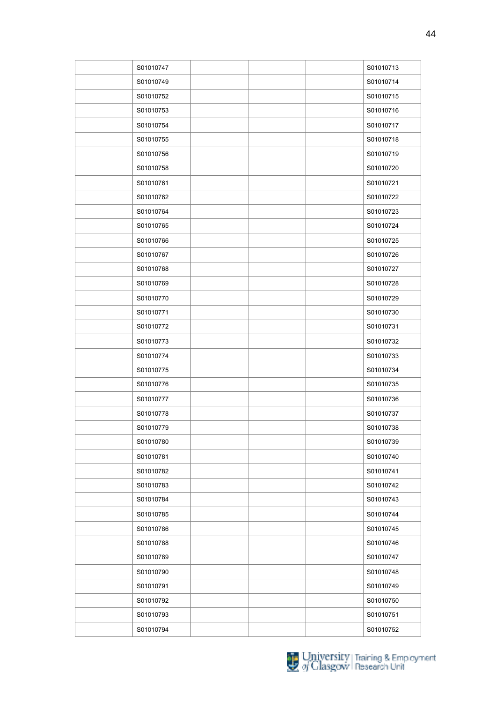| S01010747 |  | S01010713 |
|-----------|--|-----------|
| S01010749 |  | S01010714 |
| S01010752 |  | S01010715 |
| S01010753 |  | S01010716 |
| S01010754 |  | S01010717 |
| S01010755 |  | S01010718 |
| S01010756 |  | S01010719 |
| S01010758 |  | S01010720 |
| S01010761 |  | S01010721 |
| S01010762 |  | S01010722 |
| S01010764 |  | S01010723 |
| S01010765 |  | S01010724 |
| S01010766 |  | S01010725 |
| S01010767 |  | S01010726 |
| S01010768 |  | S01010727 |
| S01010769 |  | S01010728 |
| S01010770 |  | S01010729 |
| S01010771 |  | S01010730 |
| S01010772 |  | S01010731 |
| S01010773 |  | S01010732 |
| S01010774 |  | S01010733 |
| S01010775 |  | S01010734 |
| S01010776 |  | S01010735 |
| S01010777 |  | S01010736 |
| S01010778 |  | S01010737 |
| S01010779 |  | S01010738 |
| S01010780 |  | S01010739 |
| S01010781 |  | S01010740 |
| S01010782 |  | S01010741 |
| S01010783 |  | S01010742 |
| S01010784 |  | S01010743 |
| S01010785 |  | S01010744 |
| S01010786 |  | S01010745 |
| S01010788 |  | S01010746 |
| S01010789 |  | S01010747 |
| S01010790 |  | S01010748 |
| S01010791 |  | S01010749 |
| S01010792 |  | S01010750 |
| S01010793 |  | S01010751 |
| S01010794 |  | S01010752 |

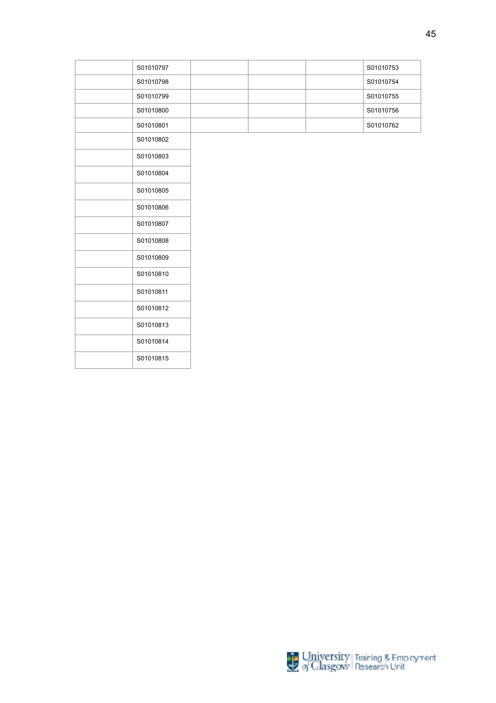| S01010797 |  | S01010753 |
|-----------|--|-----------|
| S01010798 |  | S01010754 |
| S01010799 |  | S01010755 |
| S01010800 |  | S01010756 |
| S01010801 |  | S01010762 |
| S01010802 |  |           |
| S01010803 |  |           |
| S01010804 |  |           |
| S01010805 |  |           |
| S01010806 |  |           |
| S01010807 |  |           |
| S01010808 |  |           |
| S01010809 |  |           |
| S01010810 |  |           |
| S01010811 |  |           |
| S01010812 |  |           |
| S01010813 |  |           |
| S01010814 |  |           |
| S01010815 |  |           |
|           |  |           |

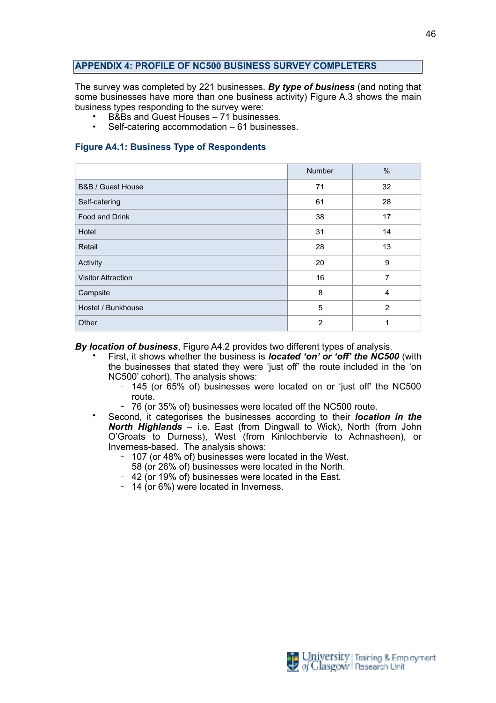### **APPENDIX 4: PROFILE OF NC500 BUSINESS SURVEY COMPLETERS**

The survey was completed by 221 businesses. *By type of business* (and noting that some businesses have more than one business activity) Figure A.3 shows the main business types responding to the survey were:

- B&Bs and Guest Houses 71 businesses.
- Self-catering accommodation 61 businesses.

## **Figure A4.1: Business Type of Respondents**

|                           | Number         | $\%$           |
|---------------------------|----------------|----------------|
| B&B / Guest House         | 71             | 32             |
| Self-catering             | 61             | 28             |
| Food and Drink            | 38             | 17             |
| Hotel                     | 31             | 14             |
| Retail                    | 28             | 13             |
| Activity                  | 20             | 9              |
| <b>Visitor Attraction</b> | 16             | 7              |
| Campsite                  | 8              | 4              |
| Hostel / Bunkhouse        | 5              | $\overline{2}$ |
| Other                     | $\overline{2}$ | 1              |

*By location of business*, Figure A4.2 provides two different types of analysis.

- First, it shows whether the business is *located 'on' or 'off' the NC500* (with the businesses that stated they were 'just off' the route included in the 'on NC500' cohort). The analysis shows:
	- 145 (or 65% of) businesses were located on or 'just off' the NC500 route.
	- 76 (or 35% of) businesses were located off the NC500 route.
- Second, it categorises the businesses according to their *location in the North Highlands* – i.e. East (from Dingwall to Wick), North (from John O'Groats to Durness), West (from Kinlochbervie to Achnasheen), or Inverness-based. The analysis shows:
	- 107 (or 48% of) businesses were located in the West.
	- 58 (or 26% of) businesses were located in the North.
	- 42 (or 19% of) businesses were located in the East.
	- 14 (or 6%) were located in Inverness.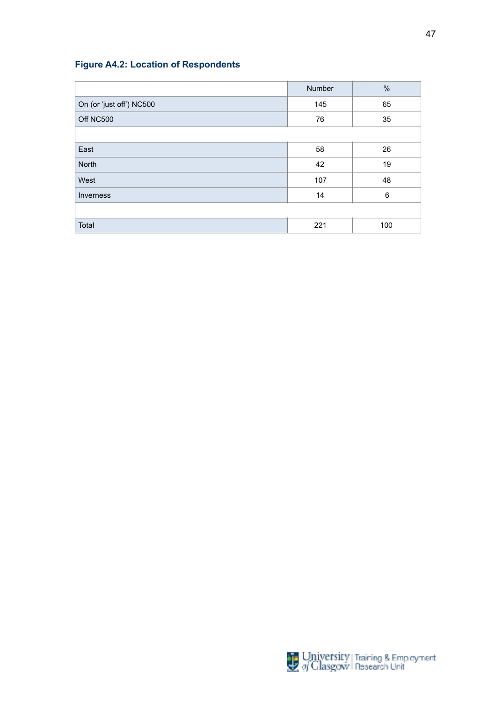## **Figure A4.2: Location of Respondents**

|                          | Number | $\%$ |
|--------------------------|--------|------|
| On (or 'just off') NC500 | 145    | 65   |
| Off NC500                | 76     | 35   |
|                          |        |      |
| East                     | 58     | 26   |
| North                    | 42     | 19   |
| West                     | 107    | 48   |
| Inverness                | 14     | 6    |
|                          |        |      |
| Total                    | 221    | 100  |

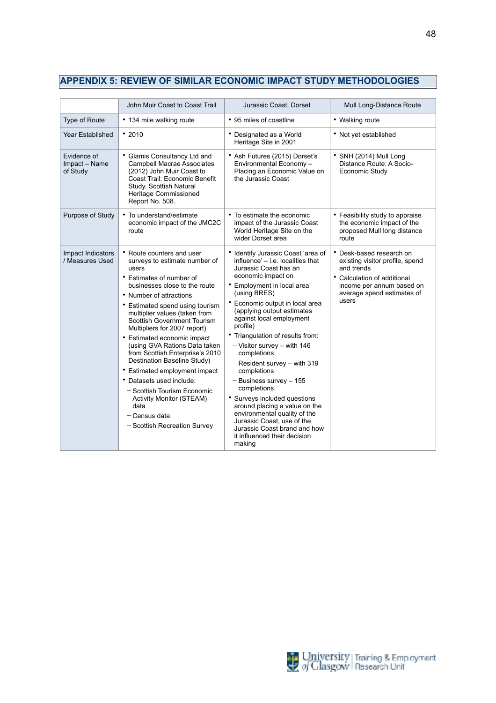# **APPENDIX 5: REVIEW OF SIMILAR ECONOMIC IMPACT STUDY METHODOLOGIES**

|                                          | John Muir Coast to Coast Trail                                                                                                                                                                                                                                                                                                                                                                                                                                                                                                                                                                                           | Jurassic Coast, Dorset                                                                                                                                                                                                                                                                                                                                                                                                                                                                                                                                                                                                                                                     | Mull Long-Distance Route                                                                                                                                                     |
|------------------------------------------|--------------------------------------------------------------------------------------------------------------------------------------------------------------------------------------------------------------------------------------------------------------------------------------------------------------------------------------------------------------------------------------------------------------------------------------------------------------------------------------------------------------------------------------------------------------------------------------------------------------------------|----------------------------------------------------------------------------------------------------------------------------------------------------------------------------------------------------------------------------------------------------------------------------------------------------------------------------------------------------------------------------------------------------------------------------------------------------------------------------------------------------------------------------------------------------------------------------------------------------------------------------------------------------------------------------|------------------------------------------------------------------------------------------------------------------------------------------------------------------------------|
| Type of Route                            | • 134 mile walking route                                                                                                                                                                                                                                                                                                                                                                                                                                                                                                                                                                                                 | • 95 miles of coastline                                                                                                                                                                                                                                                                                                                                                                                                                                                                                                                                                                                                                                                    | • Walking route                                                                                                                                                              |
| <b>Year Established</b>                  | $\cdot$ 2010                                                                                                                                                                                                                                                                                                                                                                                                                                                                                                                                                                                                             | • Designated as a World<br>Heritage Site in 2001                                                                                                                                                                                                                                                                                                                                                                                                                                                                                                                                                                                                                           | • Not yet established                                                                                                                                                        |
| Evidence of<br>Impact - Name<br>of Study | • Glamis Consultancy Ltd and<br><b>Campbell Macrae Associates</b><br>(2012) John Muir Coast to<br>Coast Trail: Economic Benefit<br>Study. Scottish Natural<br>Heritage Commissioned<br>Report No. 508.                                                                                                                                                                                                                                                                                                                                                                                                                   | • Ash Futures (2015) Dorset's<br>Environmental Economy -<br>Placing an Economic Value on<br>the Jurassic Coast                                                                                                                                                                                                                                                                                                                                                                                                                                                                                                                                                             | * SNH (2014) Mull Long<br>Distance Route: A Socio-<br>Economic Study                                                                                                         |
| Purpose of Study                         | • To understand/estimate<br>economic impact of the JMC2C<br>route                                                                                                                                                                                                                                                                                                                                                                                                                                                                                                                                                        | • To estimate the economic<br>impact of the Jurassic Coast<br>World Heritage Site on the<br>wider Dorset area                                                                                                                                                                                                                                                                                                                                                                                                                                                                                                                                                              | • Feasibility study to appraise<br>the economic impact of the<br>proposed Mull long distance<br>route                                                                        |
| Impact Indicators<br>/ Measures Used     | • Route counters and user<br>surveys to estimate number of<br>users<br>• Estimates of number of<br>businesses close to the route<br>• Number of attractions<br>• Estimated spend using tourism<br>multiplier values (taken from<br>Scottish Government Tourism<br>Multipliers for 2007 report)<br>• Estimated economic impact<br>(using GVA Rations Data taken<br>from Scottish Enterprise's 2010<br>Destination Baseline Study)<br>• Estimated employment impact<br>• Datasets used include:<br>- Scottish Tourism Economic<br><b>Activity Monitor (STEAM)</b><br>data<br>- Census data<br>- Scottish Recreation Survey | • Identify Jurassic Coast 'area of<br>influence' - i.e. localities that<br>Jurassic Coast has an<br>economic impact on<br>• Employment in local area<br>(using BRES)<br>• Economic output in local area<br>(applying output estimates<br>against local employment<br>profile)<br>• Triangulation of results from:<br>$-$ Visitor survey – with 146<br>completions<br>$-$ Resident survey $-$ with 319<br>completions<br>$-$ Business survey $-155$<br>completions<br>• Surveys included questions<br>around placing a value on the<br>environmental quality of the<br>Jurassic Coast, use of the<br>Jurassic Coast brand and how<br>it influenced their decision<br>making | • Desk-based research on<br>existing visitor profile, spend<br>and trends<br>• Calculation of additional<br>income per annum based on<br>average spend estimates of<br>users |